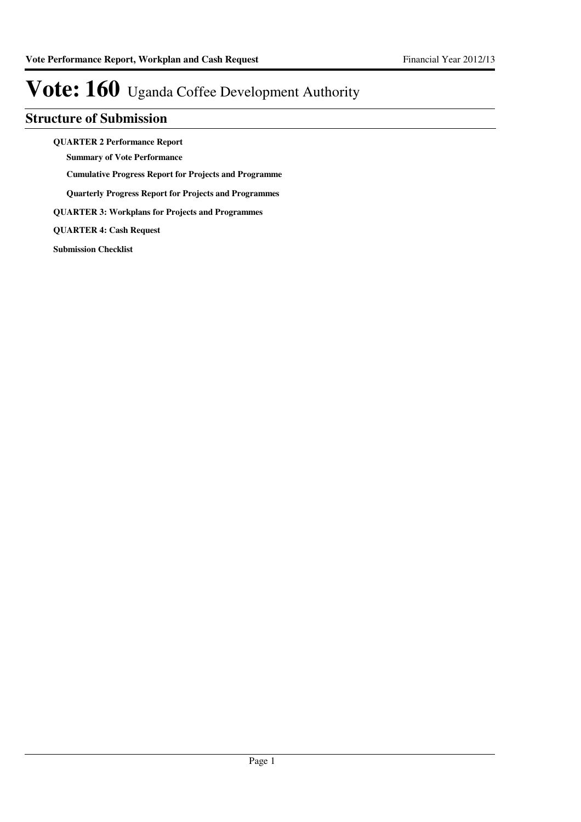### **Structure of Submission**

**QUARTER 2 Performance Report**

**Summary of Vote Performance**

**Cumulative Progress Report for Projects and Programme**

**Quarterly Progress Report for Projects and Programmes**

**QUARTER 3: Workplans for Projects and Programmes**

**QUARTER 4: Cash Request**

**Submission Checklist**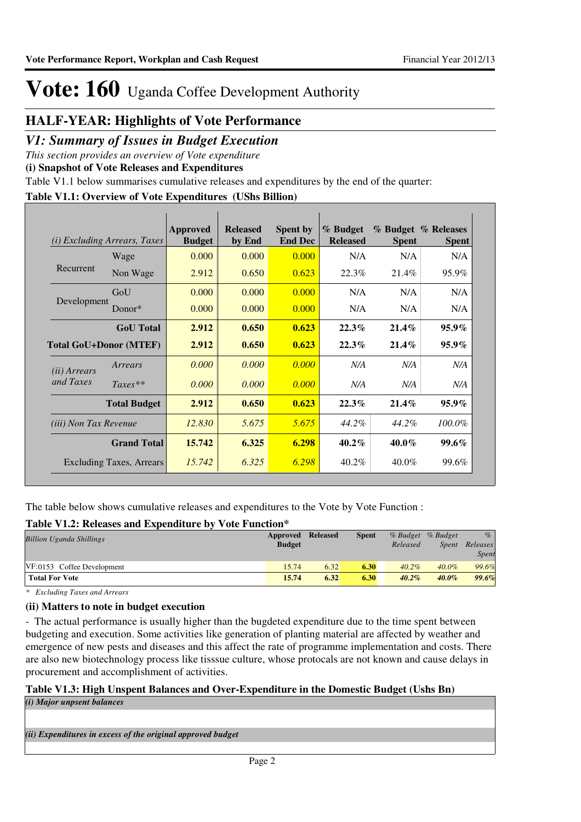### **HALF-YEAR: Highlights of Vote Performance**

### *V1: Summary of Issues in Budget Execution*

*This section provides an overview of Vote expenditure* 

**(i) Snapshot of Vote Releases and Expenditures**

Table V1.1 below summarises cumulative releases and expenditures by the end of the quarter:

#### **Table V1.1: Overview of Vote Expenditures (UShs Billion)**

| (i)                           | <i>Excluding Arrears, Taxes</i> | Approved<br><b>Budget</b> | <b>Released</b><br>by End | <b>Spent by</b><br><b>End Dec</b> | % Budget<br><b>Released</b> | <b>Spent</b> | % Budget % Releases<br><b>Spent</b> |
|-------------------------------|---------------------------------|---------------------------|---------------------------|-----------------------------------|-----------------------------|--------------|-------------------------------------|
|                               | Wage                            | 0.000                     | 0.000                     | 0.000                             | N/A                         | N/A          | N/A                                 |
| Recurrent                     | Non Wage                        | 2.912                     | 0.650                     | 0.623                             | 22.3%                       | 21.4%        | 95.9%                               |
|                               | GoU                             | 0.000                     | 0.000                     | 0.000                             | N/A                         | N/A          | N/A                                 |
| Development                   | Donor*                          | 0.000                     | 0.000                     | 0.000                             | N/A                         | N/A          | N/A                                 |
|                               | <b>GoU</b> Total                | 2.912                     | 0.650                     | 0.623                             | 22.3%                       | $21.4\%$     | $95.9\%$                            |
| <b>Total GoU+Donor (MTEF)</b> |                                 | 2.912                     | 0.650                     | 0.623                             | 22.3%                       | $21.4\%$     | $95.9\%$                            |
| ( <i>ii</i> ) Arrears         | Arrears                         | 0.000                     | 0.000                     | 0.000                             | N/A                         | N/A          | N/A                                 |
| and Taxes                     | $Taxes**$                       | 0.000                     | 0.000                     | 0.000                             | N/A                         | N/A          | N/A                                 |
|                               | <b>Total Budget</b>             | 2.912                     | 0.650                     | 0.623                             | 22.3%                       | $21.4\%$     | $95.9\%$                            |
| <i>(iii)</i> Non Tax Revenue  |                                 | 12.830                    | 5.675                     | 5.675                             | 44.2%                       | 44.2%        | 100.0%                              |
|                               | <b>Grand Total</b>              | 15.742                    | 6.325                     | 6.298                             | $40.2\%$                    | $40.0\%$     | <b>99.6%</b>                        |
|                               | <b>Excluding Taxes, Arrears</b> | 15.742                    | 6.325                     | 6.298                             | $40.2\%$                    | 40.0%        | 99.6%                               |

The table below shows cumulative releases and expenditures to the Vote by Vote Function :

#### **Table V1.2: Releases and Expenditure by Vote Function\***

| <b>Billion Uganda Shillings</b> | Approved<br><b>Budget</b> | Released | <b>Spent</b> | Released | % Budget % Budget<br><i>Spent</i> | $\%$<br>Releases<br>Spent |
|---------------------------------|---------------------------|----------|--------------|----------|-----------------------------------|---------------------------|
| VF:0153 Coffee Development      | 15.74                     | 6.32     | 6.30         | $40.2\%$ | $40.0\%$                          | 99.6%                     |
| <b>Total For Vote</b>           | 15.74                     | 6.32     | 6.30         | $40.2\%$ | $40.0\%$                          | 99.6%                     |

*\* Excluding Taxes and Arrears*

#### **(ii) Matters to note in budget execution**

- The actual performance is usually higher than the bugdeted expenditure due to the time spent between budgeting and execution. Some activities like generation of planting material are affected by weather and emergence of new pests and diseases and this affect the rate of programme implementation and costs. There are also new biotechnology process like tisssue culture, whose protocals are not known and cause delays in procurement and accomplishment of activities.

#### **Table V1.3: High Unspent Balances and Over-Expenditure in the Domestic Budget (Ushs Bn)** *(i) Major unpsent balances*

*(ii) Expenditures in excess of the original approved budget*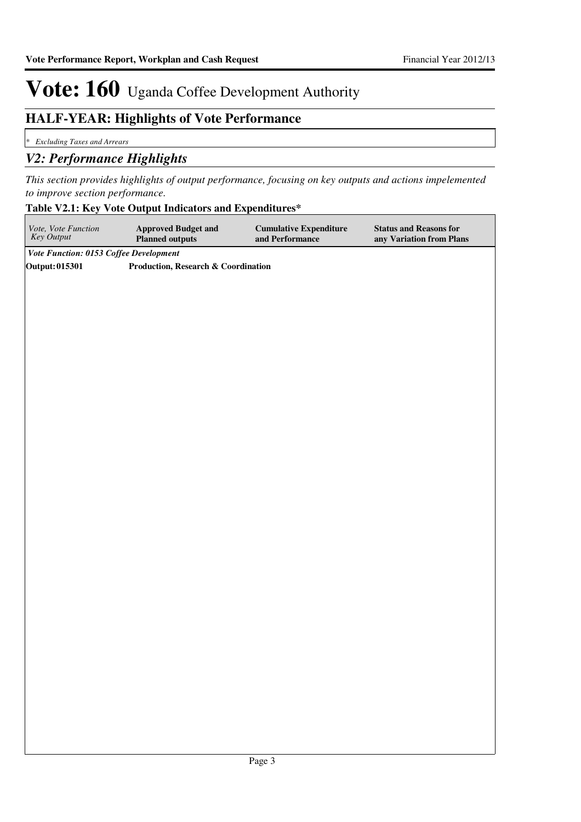### **HALF-YEAR: Highlights of Vote Performance**

*\* Excluding Taxes and Arrears*

### *V2: Performance Highlights*

*This section provides highlights of output performance, focusing on key outputs and actions impelemented to improve section performance.*

#### **Table V2.1: Key Vote Output Indicators and Expenditures\***

| Vote, Vote Function<br>Key Output      | <b>Approved Budget and</b><br><b>Planned outputs</b> | <b>Cumulative Expenditure</b><br>and Performance | <b>Status and Reasons for</b><br>any Variation from Plans |
|----------------------------------------|------------------------------------------------------|--------------------------------------------------|-----------------------------------------------------------|
| Vote Function: 0153 Coffee Development |                                                      |                                                  |                                                           |
| <b>Output:015301</b>                   | Production, Research & Coordination                  |                                                  |                                                           |
|                                        |                                                      |                                                  |                                                           |
|                                        |                                                      |                                                  |                                                           |
|                                        |                                                      |                                                  |                                                           |
|                                        |                                                      |                                                  |                                                           |
|                                        |                                                      |                                                  |                                                           |
|                                        |                                                      |                                                  |                                                           |
|                                        |                                                      |                                                  |                                                           |
|                                        |                                                      |                                                  |                                                           |
|                                        |                                                      |                                                  |                                                           |
|                                        |                                                      |                                                  |                                                           |
|                                        |                                                      |                                                  |                                                           |
|                                        |                                                      |                                                  |                                                           |
|                                        |                                                      |                                                  |                                                           |
|                                        |                                                      |                                                  |                                                           |
|                                        |                                                      |                                                  |                                                           |
|                                        |                                                      |                                                  |                                                           |
|                                        |                                                      |                                                  |                                                           |
|                                        |                                                      |                                                  |                                                           |
|                                        |                                                      |                                                  |                                                           |
|                                        |                                                      |                                                  |                                                           |
|                                        |                                                      |                                                  |                                                           |
|                                        |                                                      |                                                  |                                                           |
|                                        |                                                      |                                                  |                                                           |
|                                        |                                                      |                                                  |                                                           |
|                                        |                                                      |                                                  |                                                           |
|                                        |                                                      |                                                  |                                                           |
|                                        |                                                      |                                                  |                                                           |
|                                        |                                                      |                                                  |                                                           |
|                                        |                                                      |                                                  |                                                           |
|                                        |                                                      |                                                  |                                                           |
|                                        |                                                      |                                                  |                                                           |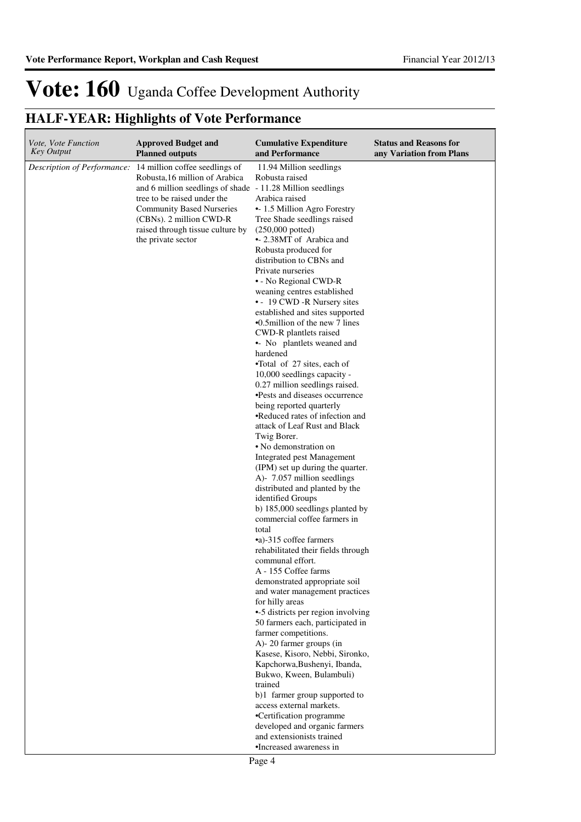## **HALF-YEAR: Highlights of Vote Performance**

| Vote, Vote Function<br><b>Key Output</b> | <b>Approved Budget and</b><br><b>Planned outputs</b>                                                                                                                                                                                                                                   | <b>Cumulative Expenditure</b><br>and Performance                                                                                                                                                                                                                                                                                                                                                                                                                                                                                                                                                                                                                                                                                                                                                                                                                                                                                                                                                                                                                                                                                                                                                                                                                                                                                                                                                                                                                                                                                                                                                         | <b>Status and Reasons for</b><br>any Variation from Plans |
|------------------------------------------|----------------------------------------------------------------------------------------------------------------------------------------------------------------------------------------------------------------------------------------------------------------------------------------|----------------------------------------------------------------------------------------------------------------------------------------------------------------------------------------------------------------------------------------------------------------------------------------------------------------------------------------------------------------------------------------------------------------------------------------------------------------------------------------------------------------------------------------------------------------------------------------------------------------------------------------------------------------------------------------------------------------------------------------------------------------------------------------------------------------------------------------------------------------------------------------------------------------------------------------------------------------------------------------------------------------------------------------------------------------------------------------------------------------------------------------------------------------------------------------------------------------------------------------------------------------------------------------------------------------------------------------------------------------------------------------------------------------------------------------------------------------------------------------------------------------------------------------------------------------------------------------------------------|-----------------------------------------------------------|
| Description of Performance:              | 14 million coffee seedlings of<br>Robusta, 16 million of Arabica<br>and 6 million seedlings of shade - 11.28 Million seedlings<br>tree to be raised under the<br><b>Community Based Nurseries</b><br>(CBNs). 2 million CWD-R<br>raised through tissue culture by<br>the private sector | 11.94 Million seedlings<br>Robusta raised<br>Arabica raised<br>• 1.5 Million Agro Forestry<br>Tree Shade seedlings raised<br>$(250,000$ potted)<br>• 2.38MT of Arabica and<br>Robusta produced for<br>distribution to CBNs and<br>Private nurseries<br>• - No Regional CWD-R<br>weaning centres established<br>• - 19 CWD -R Nursery sites<br>established and sites supported<br>$\cdot$ 0.5 million of the new 7 lines<br>CWD-R plantlets raised<br>• No plantlets weaned and<br>hardened<br>•Total of 27 sites, each of<br>10,000 seedlings capacity -<br>0.27 million seedlings raised.<br>•Pests and diseases occurrence<br>being reported quarterly<br>•Reduced rates of infection and<br>attack of Leaf Rust and Black<br>Twig Borer.<br>• No demonstration on<br>Integrated pest Management<br>(IPM) set up during the quarter.<br>A)- 7.057 million seedlings<br>distributed and planted by the<br>identified Groups<br>b) 185,000 seedlings planted by<br>commercial coffee farmers in<br>total<br>•a)-315 coffee farmers<br>rehabilitated their fields through<br>communal effort.<br>A - 155 Coffee farms<br>demonstrated appropriate soil<br>and water management practices<br>for hilly areas<br>•-5 districts per region involving<br>50 farmers each, participated in<br>farmer competitions.<br>A)-20 farmer groups (in<br>Kasese, Kisoro, Nebbi, Sironko,<br>Kapchorwa, Bushenyi, Ibanda,<br>Bukwo, Kween, Bulambuli)<br>trained<br>b)1 farmer group supported to<br>access external markets.<br>•Certification programme<br>developed and organic farmers<br>and extensionists trained |                                                           |
|                                          |                                                                                                                                                                                                                                                                                        | •Increased awareness in                                                                                                                                                                                                                                                                                                                                                                                                                                                                                                                                                                                                                                                                                                                                                                                                                                                                                                                                                                                                                                                                                                                                                                                                                                                                                                                                                                                                                                                                                                                                                                                  |                                                           |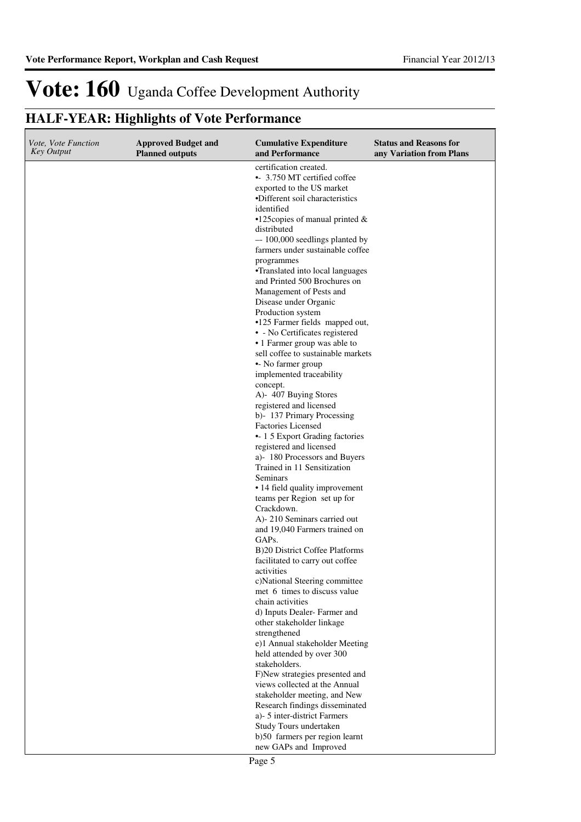## **HALF-YEAR: Highlights of Vote Performance**

| <i>Vote, Vote Function</i><br>Key Output | <b>Approved Budget and</b><br><b>Planned outputs</b> | <b>Cumulative Expenditure</b><br>and Performance               | <b>Status and Reasons for</b><br>any Variation from Plans |
|------------------------------------------|------------------------------------------------------|----------------------------------------------------------------|-----------------------------------------------------------|
|                                          |                                                      | certification created.                                         |                                                           |
|                                          |                                                      | • 3.750 MT certified coffee                                    |                                                           |
|                                          |                                                      | exported to the US market<br>·Different soil characteristics   |                                                           |
|                                          |                                                      | identified                                                     |                                                           |
|                                          |                                                      | $\cdot$ 125 copies of manual printed &                         |                                                           |
|                                          |                                                      | distributed                                                    |                                                           |
|                                          |                                                      | -- 100,000 seedlings planted by                                |                                                           |
|                                          |                                                      | farmers under sustainable coffee                               |                                                           |
|                                          |                                                      | programmes<br>•Translated into local languages                 |                                                           |
|                                          |                                                      | and Printed 500 Brochures on                                   |                                                           |
|                                          |                                                      | Management of Pests and                                        |                                                           |
|                                          |                                                      | Disease under Organic                                          |                                                           |
|                                          |                                                      | Production system                                              |                                                           |
|                                          |                                                      | •125 Farmer fields mapped out,                                 |                                                           |
|                                          |                                                      | • - No Certificates registered<br>• 1 Farmer group was able to |                                                           |
|                                          |                                                      | sell coffee to sustainable markets                             |                                                           |
|                                          |                                                      | • No farmer group                                              |                                                           |
|                                          |                                                      | implemented traceability                                       |                                                           |
|                                          |                                                      | concept.                                                       |                                                           |
|                                          |                                                      | A)- 407 Buying Stores<br>registered and licensed               |                                                           |
|                                          |                                                      | b)-137 Primary Processing                                      |                                                           |
|                                          |                                                      | <b>Factories Licensed</b>                                      |                                                           |
|                                          |                                                      | • 1 5 Export Grading factories                                 |                                                           |
|                                          |                                                      | registered and licensed                                        |                                                           |
|                                          |                                                      | a)-180 Processors and Buyers<br>Trained in 11 Sensitization    |                                                           |
|                                          |                                                      | Seminars                                                       |                                                           |
|                                          |                                                      | • 14 field quality improvement                                 |                                                           |
|                                          |                                                      | teams per Region set up for                                    |                                                           |
|                                          |                                                      | Crackdown.                                                     |                                                           |
|                                          |                                                      | A)-210 Seminars carried out<br>and 19,040 Farmers trained on   |                                                           |
|                                          |                                                      | GAP <sub>s</sub> .                                             |                                                           |
|                                          |                                                      | B)20 District Coffee Platforms                                 |                                                           |
|                                          |                                                      | facilitated to carry out coffee                                |                                                           |
|                                          |                                                      | activities                                                     |                                                           |
|                                          |                                                      | c)National Steering committee<br>met 6 times to discuss value  |                                                           |
|                                          |                                                      | chain activities                                               |                                                           |
|                                          |                                                      | d) Inputs Dealer-Farmer and                                    |                                                           |
|                                          |                                                      | other stakeholder linkage                                      |                                                           |
|                                          |                                                      | strengthened<br>e)1 Annual stakeholder Meeting                 |                                                           |
|                                          |                                                      | held attended by over 300                                      |                                                           |
|                                          |                                                      | stakeholders.                                                  |                                                           |
|                                          |                                                      | F)New strategies presented and                                 |                                                           |
|                                          |                                                      | views collected at the Annual                                  |                                                           |
|                                          |                                                      | stakeholder meeting, and New<br>Research findings disseminated |                                                           |
|                                          |                                                      | a)- 5 inter-district Farmers                                   |                                                           |
|                                          |                                                      | Study Tours undertaken                                         |                                                           |
|                                          |                                                      | b)50 farmers per region learnt                                 |                                                           |
|                                          |                                                      | new GAPs and Improved                                          |                                                           |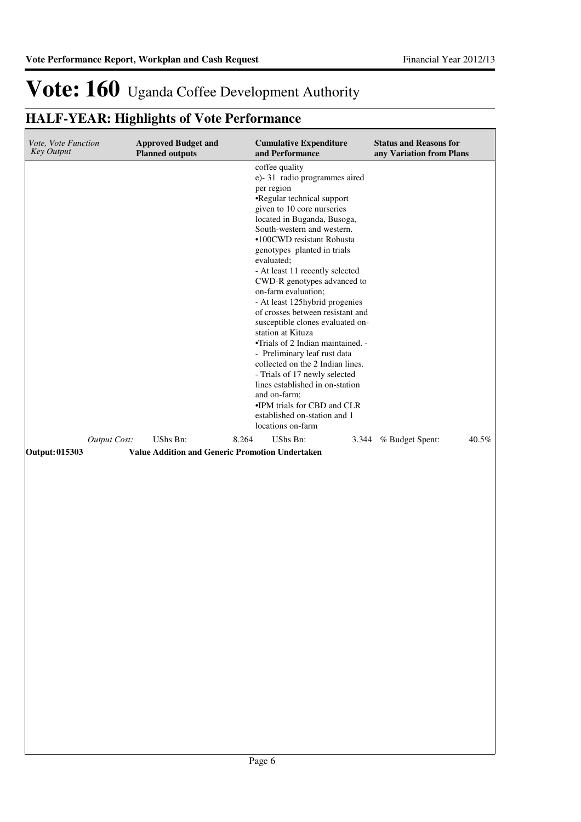## **HALF-YEAR: Highlights of Vote Performance**

| Vote, Vote Function<br><b>Key Output</b> |              | <b>Approved Budget and</b><br><b>Planned outputs</b> |                                                                                                                                                                                                                                                                                                                                                                                                                                                                                                                                                                                                                                                                                                                                                                          | <b>Cumulative Expenditure</b><br>and Performance |       | <b>Status and Reasons for</b><br>any Variation from Plans |       |
|------------------------------------------|--------------|------------------------------------------------------|--------------------------------------------------------------------------------------------------------------------------------------------------------------------------------------------------------------------------------------------------------------------------------------------------------------------------------------------------------------------------------------------------------------------------------------------------------------------------------------------------------------------------------------------------------------------------------------------------------------------------------------------------------------------------------------------------------------------------------------------------------------------------|--------------------------------------------------|-------|-----------------------------------------------------------|-------|
| UShs Bn:<br>8.264                        |              |                                                      | coffee quality<br>e)-31 radio programmes aired<br>per region<br>•Regular technical support<br>given to 10 core nurseries<br>located in Buganda, Busoga,<br>South-western and western.<br>•100CWD resistant Robusta<br>genotypes planted in trials<br>evaluated;<br>- At least 11 recently selected<br>CWD-R genotypes advanced to<br>on-farm evaluation;<br>- At least 125hybrid progenies<br>of crosses between resistant and<br>susceptible clones evaluated on-<br>station at Kituza<br>•Trials of 2 Indian maintained. -<br>- Preliminary leaf rust data<br>collected on the 2 Indian lines.<br>- Trials of 17 newly selected<br>lines established in on-station<br>and on-farm;<br>•IPM trials for CBD and CLR<br>established on-station and 1<br>locations on-farm |                                                  |       |                                                           |       |
|                                          | Output Cost: |                                                      |                                                                                                                                                                                                                                                                                                                                                                                                                                                                                                                                                                                                                                                                                                                                                                          | UShs Bn:                                         | 3.344 | % Budget Spent:                                           | 40.5% |
| Output: 015303                           |              | Value Addition and Generic Promotion Undertaken      |                                                                                                                                                                                                                                                                                                                                                                                                                                                                                                                                                                                                                                                                                                                                                                          |                                                  |       |                                                           |       |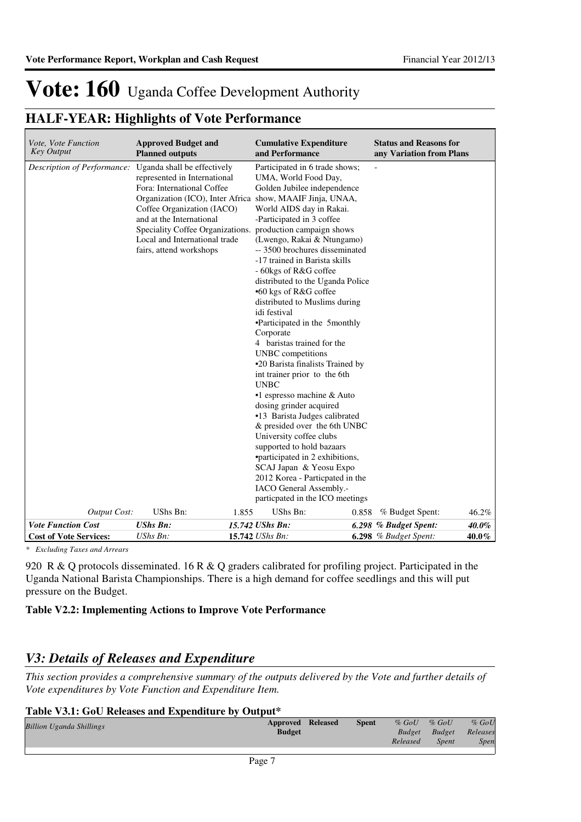### **HALF-YEAR: Highlights of Vote Performance**

| Description of Performance:<br>Uganda shall be effectively<br>Participated in 6 trade shows;<br>represented in International<br>UMA, World Food Day,<br>Fora: International Coffee<br>Golden Jubilee independence<br>Organization (ICO), Inter Africa show, MAAIF Jinja, UNAA,<br>Coffee Organization (IACO)<br>World AIDS day in Rakai.<br>and at the International<br>-Participated in 3 coffee<br>Speciality Coffee Organizations.<br>production campaign shows<br>(Lwengo, Rakai & Ntungamo)<br>Local and International trade<br>fairs, attend workshops<br>-- 3500 brochures disseminated<br>-17 trained in Barista skills<br>- 60kgs of R&G coffee<br>distributed to the Uganda Police<br>•60 kgs of R&G coffee<br>distributed to Muslims during<br>idi festival<br>•Participated in the 5monthly<br>Corporate<br>4 baristas trained for the<br>UNBC competitions<br>•20 Barista finalists Trained by<br>int trainer prior to the 6th<br><b>UNBC</b><br>$\cdot$ 1 espresso machine & Auto<br>dosing grinder acquired<br>•13 Barista Judges calibrated<br>& presided over the 6th UNBC<br>University coffee clubs<br>supported to hold bazaars<br>•participated in 2 exhibitions,<br>SCAJ Japan & Yeosu Expo<br>2012 Korea - Particpated in the<br>IACO General Assembly.-<br>particpated in the ICO meetings<br>UShs Bn:<br>UShs Bn:<br><b>Output Cost:</b><br>1.855<br>46.2%<br>% Budget Spent:<br>0.858<br><b>Vote Function Cost</b><br><b>UShs Bn:</b><br>15.742 UShs Bn:<br>40.0%<br>6.298 % Budget Spent:<br>15.742 UShs Bn: | Vote, Vote Function<br><b>Key Output</b> | <b>Approved Budget and</b><br><b>Planned outputs</b> | <b>Cumulative Expenditure</b><br>and Performance | <b>Status and Reasons for</b><br>any Variation from Plans |       |
|-----------------------------------------------------------------------------------------------------------------------------------------------------------------------------------------------------------------------------------------------------------------------------------------------------------------------------------------------------------------------------------------------------------------------------------------------------------------------------------------------------------------------------------------------------------------------------------------------------------------------------------------------------------------------------------------------------------------------------------------------------------------------------------------------------------------------------------------------------------------------------------------------------------------------------------------------------------------------------------------------------------------------------------------------------------------------------------------------------------------------------------------------------------------------------------------------------------------------------------------------------------------------------------------------------------------------------------------------------------------------------------------------------------------------------------------------------------------------------------------------------------------------------------------|------------------------------------------|------------------------------------------------------|--------------------------------------------------|-----------------------------------------------------------|-------|
|                                                                                                                                                                                                                                                                                                                                                                                                                                                                                                                                                                                                                                                                                                                                                                                                                                                                                                                                                                                                                                                                                                                                                                                                                                                                                                                                                                                                                                                                                                                                         |                                          |                                                      |                                                  |                                                           |       |
|                                                                                                                                                                                                                                                                                                                                                                                                                                                                                                                                                                                                                                                                                                                                                                                                                                                                                                                                                                                                                                                                                                                                                                                                                                                                                                                                                                                                                                                                                                                                         |                                          |                                                      |                                                  |                                                           |       |
|                                                                                                                                                                                                                                                                                                                                                                                                                                                                                                                                                                                                                                                                                                                                                                                                                                                                                                                                                                                                                                                                                                                                                                                                                                                                                                                                                                                                                                                                                                                                         | <b>Cost of Vote Services:</b>            | UShs Bn:                                             |                                                  | $6.298$ % Budget Spent:                                   | 40.0% |

*\* Excluding Taxes and Arrears*

920 R & Q protocols disseminated. 16 R & Q graders calibrated for profiling project. Participated in the Uganda National Barista Championships. There is a high demand for coffee seedlings and this will put pressure on the Budget.

### **Table V2.2: Implementing Actions to Improve Vote Performance**

### *V3: Details of Releases and Expenditure*

*This section provides a comprehensive summary of the outputs delivered by the Vote and further details of Vote expenditures by Vote Function and Expenditure Item.*

### **Table V3.1: GoU Releases and Expenditure by Output\***

| <b>Billion Uganda Shillings</b> | <b>Approved Released</b> | <b>Spent</b> | $%$ GoU       | $%$ GoU      | $%$ GoU  |
|---------------------------------|--------------------------|--------------|---------------|--------------|----------|
|                                 | <b>Budget</b>            |              | <b>Budget</b> | Budget       | Releases |
|                                 |                          |              | Released      | <b>Spent</b> | Spen     |
|                                 |                          |              |               |              |          |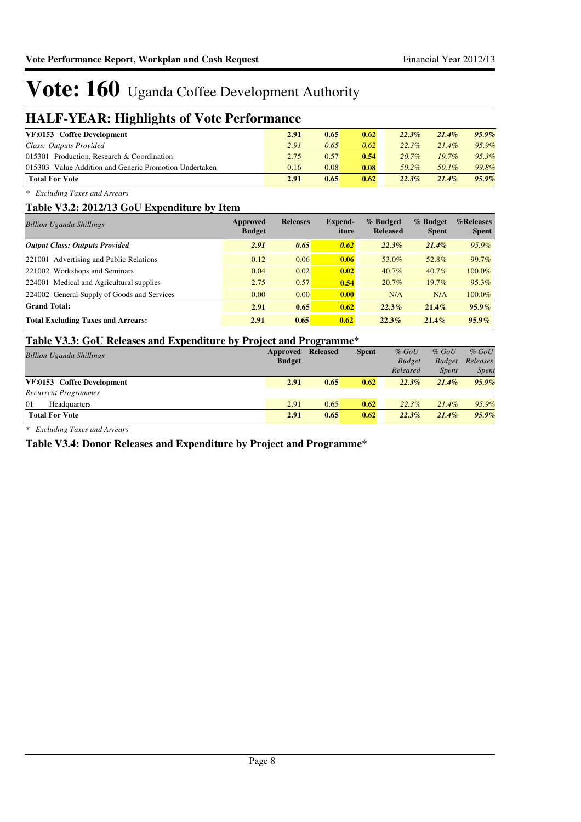### **HALF-YEAR: Highlights of Vote Performance**

| --                                                     |      |      |      |          |          |          |
|--------------------------------------------------------|------|------|------|----------|----------|----------|
| VF:0153 Coffee Development                             | 2.91 | 0.65 | 0.62 | $22.3\%$ | 21.4%    | $95.9\%$ |
| Class: Outputs Provided                                | 2.91 | 0.65 | 0.62 | $22.3\%$ | $21.4\%$ | 95.9%    |
| 015301 Production, Research & Coordination             | 2.75 | 0.57 | 0.54 | $20.7\%$ | $19.7\%$ | 95.3%    |
| 015303 Value Addition and Generic Promotion Undertaken | 0.16 | 0.08 | 0.08 | 50.2%    | 50.1%    | 99.8%    |
| <b>Total For Vote</b>                                  | 2.91 | 0.65 | 0.62 | 22.3%    | $21.4\%$ | 95.9%    |

*\* Excluding Taxes and Arrears*

#### **Table V3.2: 2012/13 GoU Expenditure by Item**

| <b>Billion Uganda Shillings</b>             | Approved<br><b>Budget</b> | <b>Releases</b> | Expend-<br>iture | % Budged<br><b>Released</b> | % Budget<br><b>Spent</b> | %Releases<br><b>Spent</b> |
|---------------------------------------------|---------------------------|-----------------|------------------|-----------------------------|--------------------------|---------------------------|
| <b>Output Class: Outputs Provided</b>       | 2.91                      | 0.65            | 0.62             | $22.3\%$                    | $21.4\%$                 | $95.9\%$                  |
| 221001 Advertising and Public Relations     | 0.12                      | 0.06            | 0.06             | 53.0%                       | 52.8%                    | 99.7%                     |
| 221002 Workshops and Seminars               | 0.04                      | 0.02            | 0.02             | $40.7\%$                    | $40.7\%$                 | 100.0%                    |
| 224001 Medical and Agricultural supplies    | 2.75                      | 0.57            | 0.54             | 20.7%                       | $19.7\%$                 | 95.3%                     |
| 224002 General Supply of Goods and Services | 0.00                      | 0.00            | 0.00             | N/A                         | N/A                      | 100.0%                    |
| <b>Grand Total:</b>                         | 2.91                      | 0.65            | 0.62             | 22.3%                       | 21.4%                    | $95.9\%$                  |
| <b>Total Excluding Taxes and Arrears:</b>   | 2.91                      | 0.65            | 0.62             | $22.3\%$                    | $21.4\%$                 | $95.9\%$                  |

#### **Table V3.3: GoU Releases and Expenditure by Project and Programme\***

|                                 |               | $\epsilon$      |              |               |               |              |
|---------------------------------|---------------|-----------------|--------------|---------------|---------------|--------------|
| <b>Billion Uganda Shillings</b> | Approved      | <b>Released</b> | <b>Spent</b> | $%$ GoU       | $%$ GoU       | $%$ GoU      |
|                                 | <b>Budget</b> |                 |              | <b>Budget</b> | <b>Budget</b> | Releases     |
|                                 |               |                 |              | Released      | <i>Spent</i>  | <b>Spent</b> |
| VF:0153 Coffee Development      | 2.91          | 0.65            | 0.62         | $22.3\%$      | $21.4\%$      | 95.9%        |
| <b>Recurrent Programmes</b>     |               |                 |              |               |               |              |
| 01<br>Headquarters              | 2.91          | 0.65            | 0.62         | $22.3\%$      | $21.4\%$      | 95.9%        |
| <b>Total For Vote</b>           | 2.91          | 0.65            | 0.62         | $22.3\%$      | $21.4\%$      | 95.9%        |
|                                 |               |                 |              |               |               |              |

*\* Excluding Taxes and Arrears*

#### **Table V3.4: Donor Releases and Expenditure by Project and Programme\***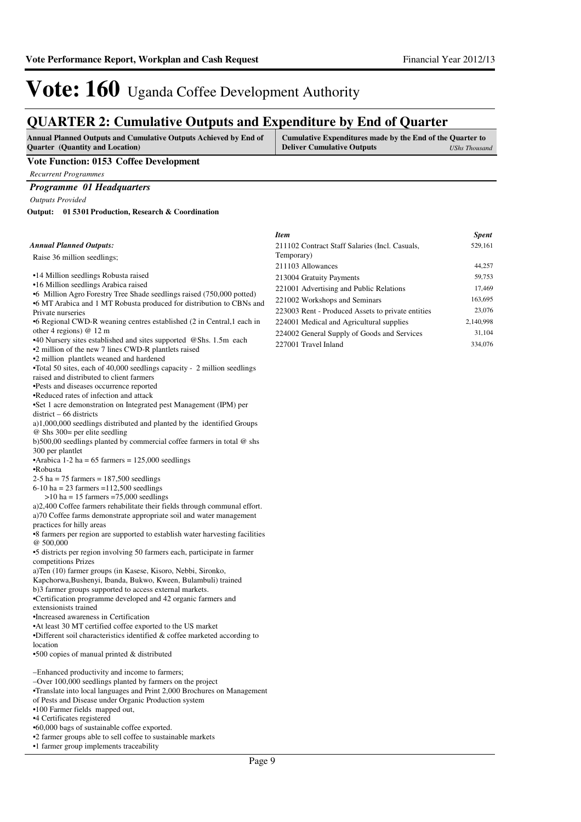### **QUARTER 2: Cumulative Outputs and Expenditure by End of Quarter**

| <b>Annual Planned Outputs and Cumulative Outputs Achieved by End of</b> | Cumulative Expenditures made by the End of the Quarter to |               |
|-------------------------------------------------------------------------|-----------------------------------------------------------|---------------|
| <b>Ouarter</b> (Quantity and Location)                                  | <b>Deliver Cumulative Outputs</b>                         | UShs Thousand |

#### **Vote Function: 0153 Coffee Development**

*Recurrent Programmes*

#### *Programme 01 Headquarters*

*Outputs Provided*

**01 5301 Production, Research & Coordination Output:**

#### *Annual Planned Outputs:*

Raise 36 million seedlings;

- •14 Million seedlings Robusta raised
- •16 Million seedlings Arabica raised
- •6 Million Agro Forestry Tree Shade seedlings raised (750,000 potted) •6 MT Arabica and 1 MT Robusta produced for distribution to CBNs and
- Private nurseries
- •6 Regional CWD-R weaning centres established (2 in Central,1 each in other 4 regions) @ 12 m
- •40 Nursery sites established and sites supported @Shs. 1.5m each
- •2 million of the new 7 lines CWD-R plantlets raised

•2 million plantlets weaned and hardened

•Total 50 sites, each of 40,000 seedlings capacity - 2 million seedlings

raised and distributed to client farmers •Pests and diseases occurrence reported

•Reduced rates of infection and attack

•Set 1 acre demonstration on Integrated pest Management (IPM) per district – 66 districts

a)1,000,000 seedlings distributed and planted by the identified Groups @ Shs 300= per elite seedling

b)500,00 seedlings planted by commercial coffee farmers in total @ shs 300 per plantlet

•Arabica 1-2 ha =  $65$  farmers =  $125,000$  seedlings

•Robusta

 $2-5$  ha = 75 farmers = 187,500 seedlings

 $6-10$  ha = 23 farmers = 112,500 seedlings

 $>10$  ha = 15 farmers =75,000 seedlings

a)2,400 Coffee farmers rehabilitate their fields through communal effort. a)70 Coffee farms demonstrate appropriate soil and water management practices for hilly areas

•8 farmers per region are supported to establish water harvesting facilities @ 500,000

•5 districts per region involving 50 farmers each, participate in farmer competitions Prizes

a)Ten (10) farmer groups (in Kasese, Kisoro, Nebbi, Sironko,

Kapchorwa,Bushenyi, Ibanda, Bukwo, Kween, Bulambuli) trained b)3 farmer groups supported to access external markets.

•Certification programme developed and 42 organic farmers and extensionists trained

•Increased awareness in Certification

•At least 30 MT certified coffee exported to the US market

•Different soil characteristics identified & coffee marketed according to location

•500 copies of manual printed & distributed

–Enhanced productivity and income to farmers;

–Over 100,000 seedlings planted by farmers on the project

•Translate into local languages and Print 2,000 Brochures on Management

of Pests and Disease under Organic Production system

•100 Farmer fields mapped out,

•4 Certificates registered

•60,000 bags of sustainable coffee exported.

•2 farmer groups able to sell coffee to sustainable markets

•1 farmer group implements traceability

| Item                                              | <b>Spent</b> |
|---------------------------------------------------|--------------|
| 211102 Contract Staff Salaries (Incl. Casuals,    | 529,161      |
| Temporary)                                        |              |
| 211103 Allowances                                 | 44,257       |
| 213004 Gratuity Payments                          | 59,753       |
| 221001 Advertising and Public Relations           | 17,469       |
| 221002 Workshops and Seminars                     | 163,695      |
| 223003 Rent - Produced Assets to private entities | 23,076       |
| 224001 Medical and Agricultural supplies          | 2,140,998    |
| 224002 General Supply of Goods and Services       | 31.104       |
| 227001 Travel Inland                              | 334,076      |
|                                                   |              |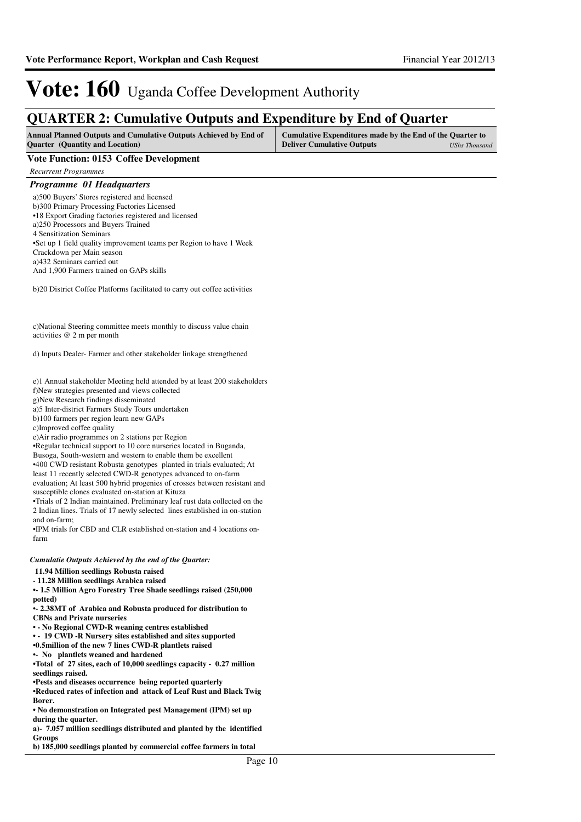### **QUARTER 2: Cumulative Outputs and Expenditure by End of Quarter**

| <b>Annual Planned Outputs and Cumulative Outputs Achieved by End of</b> | Cumulative Expenditures made by the End of the Quarter to |               |
|-------------------------------------------------------------------------|-----------------------------------------------------------|---------------|
| <b>Ouarter</b> (Quantity and Location)                                  | <b>Deliver Cumulative Outputs</b>                         | UShs Thousand |

#### **Vote Function: 0153 Coffee Development**

*Recurrent Programmes*

#### *Programme 01 Headquarters*

| a) 500 Buyers' Stores registered and licensed                       |
|---------------------------------------------------------------------|
| b)300 Primary Processing Factories Licensed                         |
| •18 Export Grading factories registered and licensed                |
| a)250 Processors and Buyers Trained                                 |
| 4 Sensitization Seminars                                            |
| •Set up 1 field quality improvement teams per Region to have 1 Week |
| Crackdown per Main season                                           |
| a)432 Seminars carried out                                          |
| And 1,900 Farmers trained on GAPs skills                            |

b)20 District Coffee Platforms facilitated to carry out coffee activities

c)National Steering committee meets monthly to discuss value chain activities @ 2 m per month

d) Inputs Dealer- Farmer and other stakeholder linkage strengthened

e)1 Annual stakeholder Meeting held attended by at least 200 stakeholders f)New strategies presented and views collected

g)New Research findings disseminated

a)5 Inter-district Farmers Study Tours undertaken

b)100 farmers per region learn new GAPs

c)Improved coffee quality

e)Air radio programmes on 2 stations per Region

•Regular technical support to 10 core nurseries located in Buganda,

Busoga, South-western and western to enable them be excellent

•400 CWD resistant Robusta genotypes planted in trials evaluated; At least 11 recently selected CWD-R genotypes advanced to on-farm

evaluation; At least 500 hybrid progenies of crosses between resistant and susceptible clones evaluated on-station at Kituza

•Trials of 2 Indian maintained. Preliminary leaf rust data collected on the 2 Indian lines. Trials of 17 newly selected lines established in on-station and on-farm;

•IPM trials for CBD and CLR established on-station and 4 locations onfarm

#### *Cumulatie Outputs Achieved by the end of the Quarter:*

 **11.94 Million seedlings Robusta raised**

**- 11.28 Million seedlings Arabica raised**

**•- 1.5 Million Agro Forestry Tree Shade seedlings raised (250,000 potted)**

**•- 2.38MT of Arabica and Robusta produced for distribution to CBNs and Private nurseries**

**• - No Regional CWD-R weaning centres established** 

**• - 19 CWD -R Nursery sites established and sites supported** 

**•0.5million of the new 7 lines CWD-R plantlets rais ed** 

**•- No plantlets weaned and hardened**

•Total of 27 sites, each of 10,000 seedlings capacity - 0.27 million **seedlings raised.**

**•Pests and diseases occurrence being reported quarterly** 

**•Reduced rates of infection and attack of Leaf Rust and Black Twig Borer.**

• No demonstration on Integrated pest Management (IPM) set up **during the quarter.**

a)- 7.057 million seedlings distributed and planted by the identified **Groups** 

**b) 185,000 seedlings planted by commercial coffee f armers in total**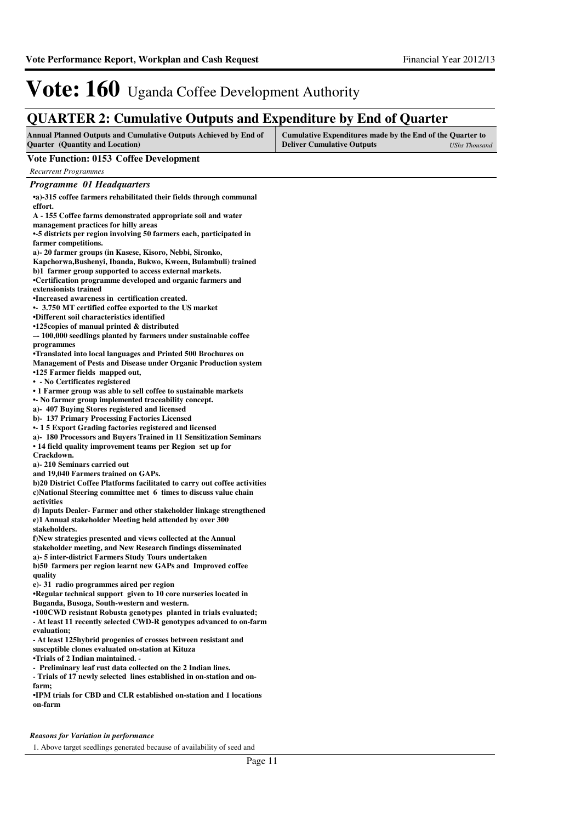### **QUARTER 2: Cumulative Outputs and Expenditure by End of Quarter**

| <b>Annual Planned Outputs and Cumulative Outputs Achieved by End of</b> | Cumulative Expenditures made by the End of the Quarter to |               |
|-------------------------------------------------------------------------|-----------------------------------------------------------|---------------|
| <b>Ouarter</b> (Quantity and Location)                                  | <b>Deliver Cumulative Outputs</b>                         | UShs Thousand |
|                                                                         |                                                           |               |

#### **Vote Function: 0153 Coffee Development**

*Recurrent Programmes*

| Programme 01 Headquarters                                                 |  |
|---------------------------------------------------------------------------|--|
| •a)-315 coffee farmers rehabilitated their fields through communal        |  |
| effort.                                                                   |  |
| A - 155 Coffee farms demonstrated appropriate soil and water              |  |
| management practices for hilly areas                                      |  |
| •-5 districts per region involving 50 farmers each, participated in       |  |
| farmer competitions.                                                      |  |
| a)- 20 farmer groups (in Kasese, Kisoro, Nebbi, Sironko,                  |  |
| Kapchorwa, Bushenyi, Ibanda, Bukwo, Kween, Bulambuli) trained             |  |
| b)1 farmer group supported to access external markets.                    |  |
| •Certification programme developed and organic farmers and                |  |
| extensionists trained                                                     |  |
| •Increased awareness in certification created.                            |  |
| • 3.750 MT certified coffee exported to the US market                     |  |
| •Different soil characteristics identified                                |  |
| •125copies of manual printed & distributed                                |  |
| -- 100,000 seedlings planted by farmers under sustainable coffee          |  |
| programmes                                                                |  |
| •Translated into local languages and Printed 500 Brochures on             |  |
| Management of Pests and Disease under Organic Production system           |  |
| •125 Farmer fields mapped out,                                            |  |
| • - No Certificates registered                                            |  |
| • 1 Farmer group was able to sell coffee to sustainable markets           |  |
| • No farmer group implemented traceability concept.                       |  |
| a)-407 Buying Stores registered and licensed                              |  |
| b) 137 Primary Processing Factories Licensed                              |  |
| • 15 Export Grading factories registered and licensed                     |  |
| a)- 180 Processors and Buyers Trained in 11 Sensitization Seminars        |  |
| • 14 field quality improvement teams per Region set up for                |  |
| Crackdown.                                                                |  |
| a)-210 Seminars carried out                                               |  |
| and 19,040 Farmers trained on GAPs.                                       |  |
| b)20 District Coffee Platforms facilitated to carry out coffee activities |  |
| c)National Steering committee met 6 times to discuss value chain          |  |
| activities                                                                |  |
| d) Inputs Dealer-Farmer and other stakeholder linkage strengthened        |  |
| e)1 Annual stakeholder Meeting held attended by over 300                  |  |
| stakeholders.                                                             |  |
| f)New strategies presented and views collected at the Annual              |  |
| stakeholder meeting, and New Research findings disseminated               |  |
| a)- 5 inter-district Farmers Study Tours undertaken                       |  |
| b)50 farmers per region learnt new GAPs and Improved coffee               |  |
| quality                                                                   |  |
| e) 31 radio programmes aired per region                                   |  |
| •Regular technical support given to 10 core nurseries located in          |  |
| Buganda, Busoga, South-western and western.                               |  |
| •100CWD resistant Robusta genotypes planted in trials evaluated;          |  |
| - At least 11 recently selected CWD-R genotypes advanced to on-farm       |  |
| evaluation;                                                               |  |
| - At least 125 hybrid progenies of crosses between resistant and          |  |
| susceptible clones evaluated on-station at Kituza                         |  |
| •Trials of 2 Indian maintained. -                                         |  |
| - Preliminary leaf rust data collected on the 2 Indian lines.             |  |
| - Trials of 17 newly selected lines established in on-station and on-     |  |
| farm;                                                                     |  |
| •IPM trials for CBD and CLR established on-station and 1 locations        |  |
| on-farm                                                                   |  |
|                                                                           |  |

*Reasons for Variation in performance*

1. Above target seedlings generated because of availability of seed and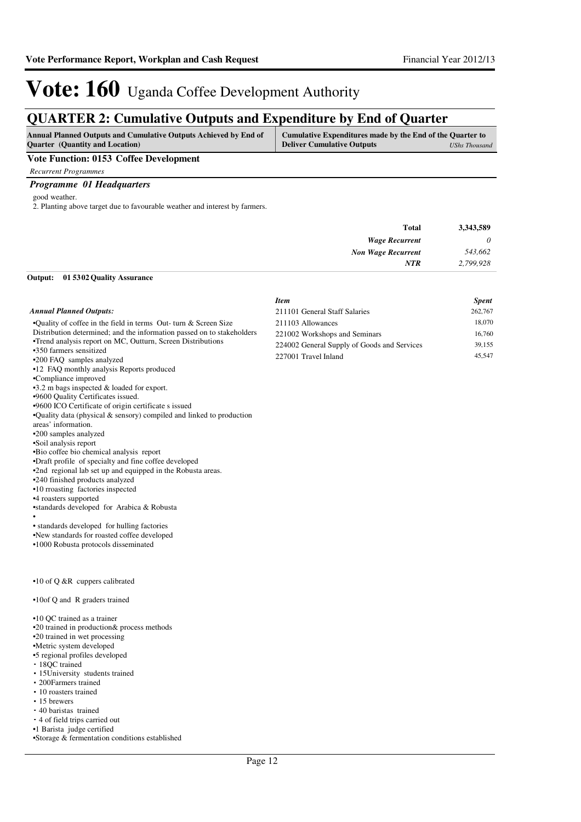### **QUARTER 2: Cumulative Outputs and Expenditure by End of Quarter**

| <b>Annual Planned Outputs and Cumulative Outputs Achieved by End of</b> | Cumulative Expenditures made by the End of the Quarter to |
|-------------------------------------------------------------------------|-----------------------------------------------------------|
| <b>Ouarter</b> (Quantity and Location)                                  | <b>Deliver Cumulative Outputs</b><br>UShs Thousand        |
| ___                                                                     |                                                           |

#### **Vote Function: 0153 Coffee Development**

*Recurrent Programmes Programme 01 Headquarters*

good weather.

2. Planting above target due to favourable weather and interest by farmers.

| 3,343,589 | <b>Total</b>              |
|-----------|---------------------------|
| $\theta$  | <b>Wage Recurrent</b>     |
| 543,662   | <b>Non Wage Recurrent</b> |
| 2,799,928 | <b>NTR</b>                |
|           |                           |

### **01 5302 Quality Assurance Output:**

|                                                                        | <b>Item</b>                                 | <b>Spent</b> |
|------------------------------------------------------------------------|---------------------------------------------|--------------|
| <b>Annual Planned Outputs:</b>                                         | 211101 General Staff Salaries               | 262,767      |
| .Quality of coffee in the field in terms Out- turn & Screen Size       | 211103 Allowances                           | 18,070       |
| Distribution determined; and the information passed on to stakeholders | 221002 Workshops and Seminars               | 16,760       |
| •Trend analysis report on MC, Outturn, Screen Distributions            | 224002 General Supply of Goods and Services | 39,155       |
| •350 farmers sensitized                                                | 227001 Travel Inland                        | 45,547       |
| •200 FAQ samples analyzed                                              |                                             |              |
| •12 FAQ monthly analysis Reports produced<br>•Compliance improved      |                                             |              |
| $\cdot$ 3.2 m bags inspected & loaded for export.                      |                                             |              |
| .9600 Quality Certificates issued.                                     |                                             |              |
| .9600 ICO Certificate of origin certificate s issued                   |                                             |              |
| •Quality data (physical $&$ sensory) compiled and linked to production |                                             |              |
| areas' information.                                                    |                                             |              |
| •200 samples analyzed                                                  |                                             |              |
| •Soil analysis report                                                  |                                             |              |
| •Bio coffee bio chemical analysis report                               |                                             |              |
| •Draft profile of specialty and fine coffee developed                  |                                             |              |
| •2nd regional lab set up and equipped in the Robusta areas.            |                                             |              |
| •240 finished products analyzed                                        |                                             |              |
| •10 rroasting factories inspected                                      |                                             |              |
| •4 roasters supported                                                  |                                             |              |
| •standards developed for Arabica & Robusta                             |                                             |              |
| • standards developed for hulling factories                            |                                             |              |
| .New standards for roasted coffee developed                            |                                             |              |
| •1000 Robusta protocols disseminated                                   |                                             |              |
|                                                                        |                                             |              |
|                                                                        |                                             |              |
|                                                                        |                                             |              |
| $\cdot$ 10 of Q &R cuppers calibrated                                  |                                             |              |
| •10of Q and R graders trained                                          |                                             |              |
| •10 QC trained as a trainer                                            |                                             |              |
| •20 trained in production& process methods                             |                                             |              |
| •20 trained in wet processing                                          |                                             |              |
| •Metric system developed                                               |                                             |              |

•5 regional profiles developed 18QC trained

- 15University students trained
- 200Farmers trained
- 10 roasters trained
- 15 brewers
- 40 baristas trained
- 4 of field trips carried out
- •1 Barista judge certified

•Storage & fermentation conditions established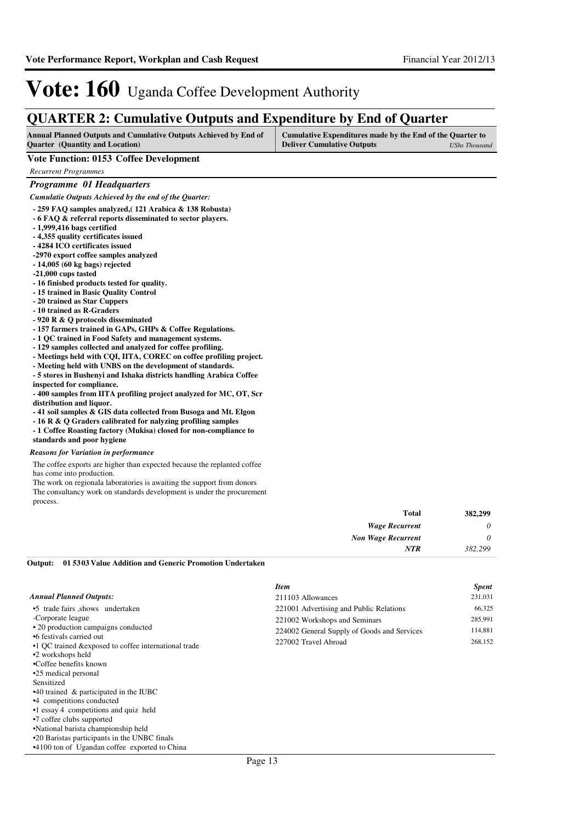### **QUARTER 2: Cumulative Outputs and Expenditure by End of Quarter**

| <b>Annual Planned Outputs and Cumulative Outputs Achieved by End of</b> | Cumulative Expenditures made by the End of the Quarter to |               |
|-------------------------------------------------------------------------|-----------------------------------------------------------|---------------|
| <b>Ouarter</b> (Quantity and Location)                                  | <b>Deliver Cumulative Outputs</b>                         | UShs Thousand |

#### **Vote Function: 0153 Coffee Development**

*Recurrent Programmes*

#### *Programme 01 Headquarters*

*Cumulatie Outputs Achieved by the end of the Quarter:*

- **259 FAQ samples analyzed,( 121 Arabica & 138 Robusta)**
- **6 FAQ & referral reports disseminated to sector players.**
- **1,999,416 bags certified**
- **4,355 quality certificates issued**
- **4284 ICO certificates issued**
- **-2970 export coffee samples analyzed**
- **14,005 (60 kg bags) rejected**
- **-21,000 cups tasted**
- **16 finished products tested for quality.**
- **15 trained in Basic Quality Control**
- **20 trained as Star Cuppers**
- **10 trained as R-Graders**
- **920 R & Q protocols disseminated**
- **157 farmers trained in GAPs, GHPs & Coffee Regulations.**
- **1 QC trained in Food Safety and management systems.**
- **129 samples collected and analyzed for coffee profiling.**
- **Meetings held with CQI, IITA, COREC on coffee profiling project.**
- **Meeting held with UNBS on the development of standards.**
- **5 stores in Bushenyi and Ishaka districts handling Arabica Coffee inspected for compliance.**

**- 400 samples from IITA profiling project analyzed for MC, OT, Scr distribution and liquor.**

- **41 soil samples & GIS data collected from Busoga and Mt. Elgon**
- **16 R & Q Graders calibrated for nalyzing profiling samples**
- **1 Coffee Roasting factory (Mukisa) closed for non-compliance to**

#### **standards and poor hygiene**

#### *Reasons for Variation in performance*

The coffee exports are higher than expected because the replanted coffee has come into production.

The work on regionala laboratories is awaiting the support from donors The consultancy work on standards development is under the procurement process.

| 382,299 | <b>Total</b>              |
|---------|---------------------------|
| 0       | <b>Wage Recurrent</b>     |
| 0       | <b>Non Wage Recurrent</b> |
| 382,299 | <b>NTR</b>                |

#### **01 5303 Value Addition and Generic Promotion Undertaken Output:**

|                                                                                                                                                                                                                                                      | <b>Item</b>                                 | <b>Spent</b> |
|------------------------------------------------------------------------------------------------------------------------------------------------------------------------------------------------------------------------------------------------------|---------------------------------------------|--------------|
| <b>Annual Planned Outputs:</b>                                                                                                                                                                                                                       | 211103 Allowances                           | 231,031      |
| •5 trade fairs shows undertaken                                                                                                                                                                                                                      | 221001 Advertising and Public Relations     | 66,325       |
| -Corporate league                                                                                                                                                                                                                                    | 221002 Workshops and Seminars               | 285,991      |
| • 20 production campaigns conducted                                                                                                                                                                                                                  | 224002 General Supply of Goods and Services | 114,881      |
| •6 festivals carried out<br>•1 QC trained & exposed to coffee international trade<br>•2 workshops held<br>•Coffee benefits known<br>•25 medical personal<br>Sensitized<br>$\cdot$ 40 trained & participated in the IUBC<br>•4 competitions conducted | 227002 Travel Abroad                        | 268,152      |
| •1 essay 4 competitions and quiz held                                                                                                                                                                                                                |                                             |              |
| •7 coffee clubs supported<br>.                                                                                                                                                                                                                       |                                             |              |

•National barista championship held

•20 Baristas participants in the UNBC finals

•4100 ton of Ugandan coffee exported to China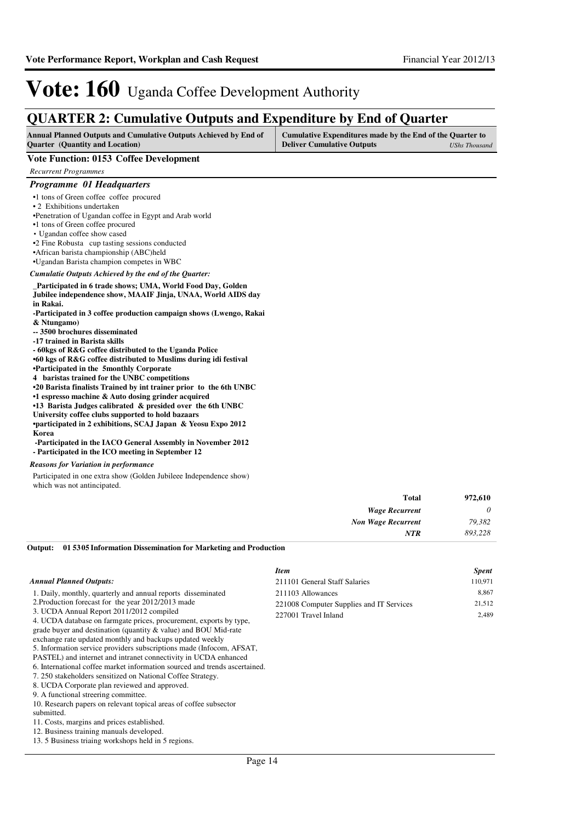### **QUARTER 2: Cumulative Outputs and Expenditure by End of Quarter**

| <b>Annual Planned Outputs and Cumulative Outputs Achieved by End of</b> | Cumulative Expenditures made by the End of the Quarter to |               |
|-------------------------------------------------------------------------|-----------------------------------------------------------|---------------|
| <b>Ouarter</b> (Quantity and Location)                                  | <b>Deliver Cumulative Outputs</b>                         | UShs Thousand |

#### **Vote Function: 0153 Coffee Development**

*Recurrent Programmes*

#### *Programme 01 Headquarters*

- •1 tons of Green coffee coffee procured
- 2 Exhibitions undertaken
- •Penetration of Ugandan coffee in Egypt and Arab world
- •1 tons of Green coffee procured
- Ugandan coffee show cased
- •2 Fine Robusta cup tasting sessions conducted
- •African barista championship (ABC)held
- •Ugandan Barista champion competes in WBC

*Cumulatie Outputs Achieved by the end of the Quarter:*

#### **\_Participated in 6 trade shows; UMA, World Food Day, Golden Jubilee independence show, MAAIF Jinja, UNAA, World AIDS day in Rakai.**

- **-Participated in 3 coffee production campaign shows (Lwengo, Rakai & Ntungamo)**
- **-- 3500 brochures disseminated**
- **-17 trained in Barista skills**
- **60kgs of R&G coffee distributed to the Uganda Police**
- **•60 kgs of R&G coffee distributed to Muslims during idi festival**
- **•Participated in the 5monthly Corporate**
- **4 baristas trained for the UNBC competitions**
- **•20 Barista finalists Trained by int trainer prior to the 6th UNBC**
- **•1 espresso machine & Auto dosing grinder acquired**
- **•13 Barista Judges calibrated & presided over the 6th UNBC**
- **University coffee clubs supported to hold bazaars**
- **•participated in 2 exhibitions, SCAJ Japan & Yeosu Expo 2012 Korea**
- **-Participated in the IACO General Assembly in November 2012**
- **Participated in the ICO meeting in September 12**

#### *Reasons for Variation in performance*

Participated in one extra show (Golden Jubileee Independence show) which was not antincipated.

| <b>Total</b>              | 972,610 |
|---------------------------|---------|
| <b>Wage Recurrent</b>     | 0       |
| <b>Non Wage Recurrent</b> | 79,382  |
| NTR                       | 893,228 |

**01 5305 Information Dissemination for Marketing and Production Output:**

| <b>Item</b>                                                                           | <b>Spent</b>             |
|---------------------------------------------------------------------------------------|--------------------------|
| 211101 General Staff Salaries                                                         | 110,971                  |
| 211103 Allowances<br>221008 Computer Supplies and IT Services<br>227001 Travel Inland | 8,867<br>21,512<br>2,489 |
|                                                                                       |                          |
|                                                                                       |                          |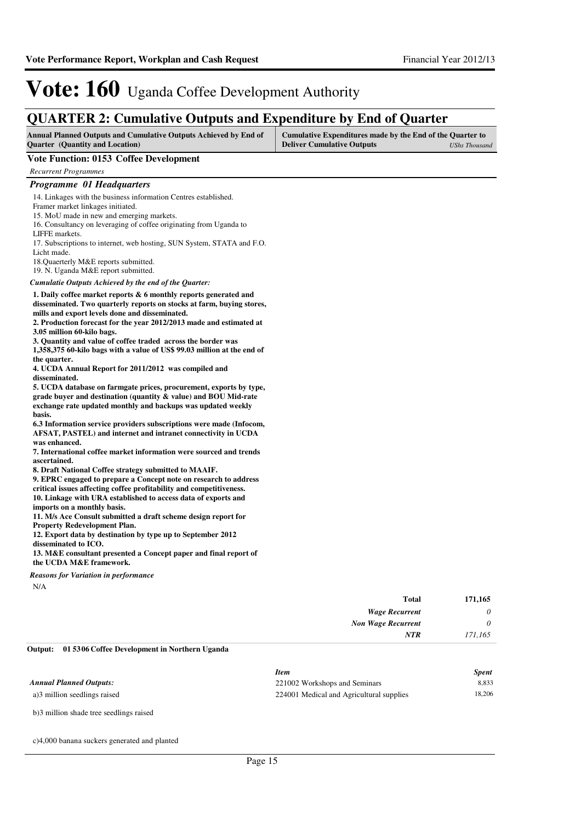### **QUARTER 2: Cumulative Outputs and Expenditure by End of Quarter**

| <b>Annual Planned Outputs and Cumulative Outputs Achieved by End of</b> | Cumulative Expenditures made by the End of the Quarter to |  |
|-------------------------------------------------------------------------|-----------------------------------------------------------|--|
| <b>Ouarter</b> (Quantity and Location)                                  | <b>Deliver Cumulative Outputs</b><br>UShs Thousand        |  |

#### **Vote Function: 0153 Coffee Development**

*Recurrent Programmes*

#### *Programme 01 Headquarters*

14. Linkages with the business information Centres established. Framer market linkages initiated. 15. MoU made in new and emerging markets. 16. Consultancy on leveraging of coffee originating from Uganda to LIFFE markets. 17. Subscriptions to internet, web hosting, SUN System, STATA and F.O.

Licht made. 18.Quaerterly M&E reports submitted.

19. N. Uganda M&E report submitted.

*Cumulatie Outputs Achieved by the end of the Quarter:*

**1. Daily coffee market reports & 6 monthly reports generated and disseminated. Two quarterly reports on stocks at farm, buying stores,** 

**mills and export levels done and disseminated.**

**2. Production forecast for the year 2012/2013 made and estimated at 3.05 million 60-kilo bags.**

**3. Quantity and value of coffee traded across the border was** 

**1,358,375 60-kilo bags with a value of US\$ 99.03 million at the end of the quarter.**

**4. UCDA Annual Report for 2011/2012 was compiled and disseminated.**

**5. UCDA database on farmgate prices, procurement, exports by type, grade buyer and destination (quantity & value) and BOU Mid-rate exchange rate updated monthly and backups was updated weekly basis.**

**6.3 Information service providers subscriptions were made (Infocom, AFSAT, PASTEL) and internet and intranet connectivity in UCDA was enhanced.**

**7. International coffee market information were sourced and trends ascertained.**

**8. Draft National Coffee strategy submitted to MAAIF.**

**9. EPRC engaged to prepare a Concept note on research to address critical issues affecting coffee profitability and competitiveness. 10. Linkage with URA established to access data of exports and imports on a monthly basis.**

**11. M/s Ace Consult submitted a draft scheme design report for Property Redevelopment Plan.**

**12. Export data by destination by type up to September 2012 disseminated to ICO.**

**13. M&E consultant presented a Concept paper and final report of the UCDA M&E framework.**

*Reasons for Variation in performance*

N/A

| 171,165  | <b>Total</b>              |
|----------|---------------------------|
| 0        | <b>Wage Recurrent</b>     |
| $\theta$ | <b>Non Wage Recurrent</b> |
| 171,165  | <b>NTR</b>                |

#### **01 5306 Coffee Development in Northern Uganda Output:**

|                                | Item                                     | <b>Spent</b> |
|--------------------------------|------------------------------------------|--------------|
| <b>Annual Planned Outputs:</b> | 221002 Workshops and Seminars            | 8.833        |
| a)3 million seedlings raised   | 224001 Medical and Agricultural supplies | 18.206       |

b)3 million shade tree seedlings raised

c)4,000 banana suckers generated and planted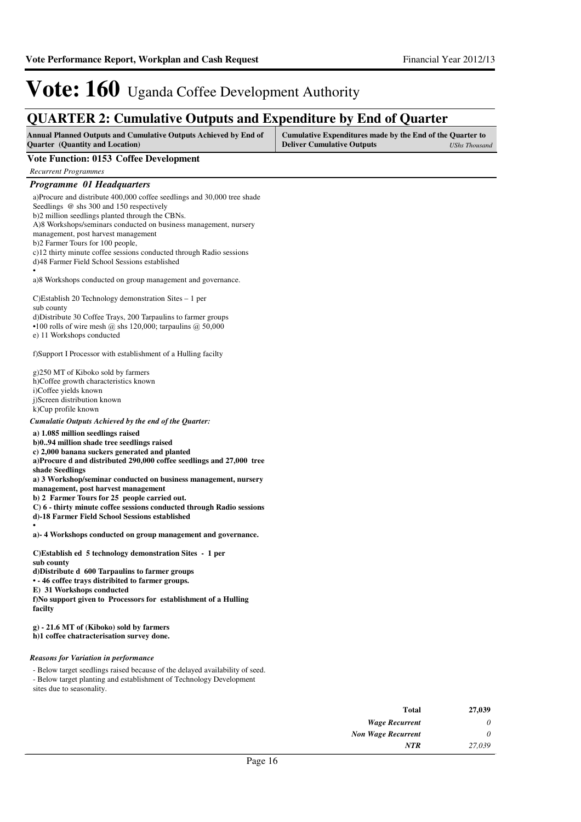## **QUARTER 2: Cumulative Outputs and Expenditure by End of Quarter**

| <b>Annual Planned Outputs and Cumulative Outputs Achieved by End of</b> | Cumulative Expenditures made by the End of the Quarter to |               |
|-------------------------------------------------------------------------|-----------------------------------------------------------|---------------|
| <b>Quarter</b> (Quantity and Location)                                  | <b>Deliver Cumulative Outputs</b>                         | UShs Thousand |

### **Vote Function: 0153 Coffee Development**

*Recurrent Programmes*

| <b>Recurrent Programmes</b>                                                              |       |        |
|------------------------------------------------------------------------------------------|-------|--------|
| Programme 01 Headquarters                                                                |       |        |
| a)Procure and distribute 400,000 coffee seedlings and 30,000 tree shade                  |       |        |
| Seedlings @ shs 300 and 150 respectively                                                 |       |        |
| b)2 million seedlings planted through the CBNs.                                          |       |        |
| A)8 Workshops/seminars conducted on business management, nursery                         |       |        |
| management, post harvest management                                                      |       |        |
| b)2 Farmer Tours for 100 people,                                                         |       |        |
| c)12 thirty minute coffee sessions conducted through Radio sessions                      |       |        |
| d)48 Farmer Field School Sessions established                                            |       |        |
| a)8 Workshops conducted on group management and governance.                              |       |        |
| C)Establish 20 Technology demonstration Sites $-1$ per                                   |       |        |
| sub county                                                                               |       |        |
| d) Distribute 30 Coffee Trays, 200 Tarpaulins to farmer groups                           |       |        |
| $\bullet$ 100 rolls of wire mesh @ shs 120,000; tarpaulins @ 50,000                      |       |        |
| e) 11 Workshops conducted                                                                |       |        |
| f)Support I Processor with establishment of a Hulling facilty                            |       |        |
| g)250 MT of Kiboko sold by farmers                                                       |       |        |
| h)Coffee growth characteristics known                                                    |       |        |
| i)Coffee yields known                                                                    |       |        |
| j)Screen distribution known                                                              |       |        |
| k)Cup profile known                                                                      |       |        |
| Cumulatie Outputs Achieved by the end of the Quarter:                                    |       |        |
| a) 1.085 million seedlings raised                                                        |       |        |
| b)094 million shade tree seedlings raised                                                |       |        |
| c) 2,000 banana suckers generated and planted                                            |       |        |
| a)Procure d and distributed 290,000 coffee seedlings and 27,000 tree                     |       |        |
| shade Seedlings                                                                          |       |        |
| a) 3 Workshop/seminar conducted on business management, nursery                          |       |        |
| management, post harvest management                                                      |       |        |
| b) 2 Farmer Tours for 25 people carried out.                                             |       |        |
| C) 6 - thirty minute coffee sessions conducted through Radio sessions                    |       |        |
| d)-18 Farmer Field School Sessions established                                           |       |        |
| a)-4 Workshops conducted on group management and governance.                             |       |        |
| C) Establish ed 5 technology demonstration Sites - 1 per<br>sub county                   |       |        |
| d)Distribute d 600 Tarpaulins to farmer groups                                           |       |        |
| • - 46 coffee trays distribited to farmer groups.                                        |       |        |
| E) 31 Workshops conducted                                                                |       |        |
| f)No support given to Processors for establishment of a Hulling                          |       |        |
| <b>facilty</b>                                                                           |       |        |
|                                                                                          |       |        |
| $g$ ) - 21.6 MT of (Kiboko) sold by farmers<br>h)1 coffee chatracterisation survey done. |       |        |
| <b>Reasons for Variation in performance</b>                                              |       |        |
| - Below target seedlings raised because of the delayed availability of seed.             |       |        |
| - Below target planting and establishment of Technology Development                      |       |        |
| sites due to seasonality.                                                                |       |        |
|                                                                                          |       |        |
|                                                                                          | Total | 27.030 |

| 27,039 | <b>Total</b>              |
|--------|---------------------------|
| 0      | <b>Wage Recurrent</b>     |
| 0      | <b>Non Wage Recurrent</b> |
| 27,039 | <b>NTR</b>                |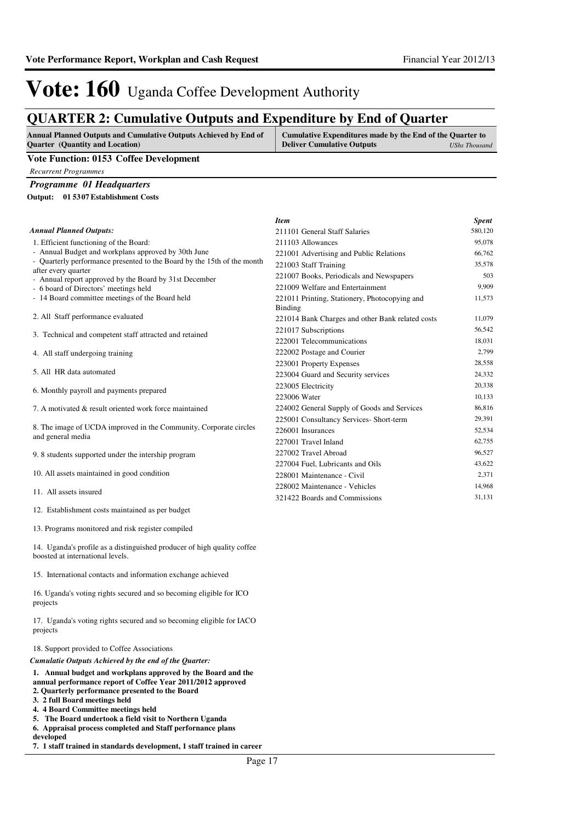### **QUARTER 2: Cumulative Outputs and Expenditure by End of Quarter**

| <b>Annual Planned Outputs and Cumulative Outputs Achieved by End of</b> | Cumulative Expenditures made by the End of the Quarter to |               |
|-------------------------------------------------------------------------|-----------------------------------------------------------|---------------|
| <b>Ouarter</b> (Quantity and Location)                                  | <b>Deliver Cumulative Outputs</b>                         | UShs Thousand |
| the company's company's the                                             |                                                           |               |

#### **Vote Function: 0153 Coffee Development**

*Recurrent Programmes*

*Programme 01 Headquarters*

**01 5307 Establishment Costs Output:**

|                                                                                                 | <b>Item</b>                                      | <b>Spent</b> |
|-------------------------------------------------------------------------------------------------|--------------------------------------------------|--------------|
| <b>Annual Planned Outputs:</b>                                                                  | 211101 General Staff Salaries                    | 580,120      |
| 1. Efficient functioning of the Board:                                                          | 211103 Allowances                                | 95,078       |
| - Annual Budget and workplans approved by 30th June                                             | 221001 Advertising and Public Relations          | 66,762       |
| - Quarterly performance presented to the Board by the 15th of the month                         | 221003 Staff Training                            | 35,578       |
| after every quarter                                                                             | 221007 Books, Periodicals and Newspapers         | 503          |
| - Annual report approved by the Board by 31st December<br>- 6 board of Directors' meetings held | 221009 Welfare and Entertainment                 | 9,909        |
| - 14 Board committee meetings of the Board held                                                 | 221011 Printing, Stationery, Photocopying and    | 11,573       |
|                                                                                                 | Binding                                          |              |
| 2. All Staff performance evaluated                                                              | 221014 Bank Charges and other Bank related costs | 11,079       |
|                                                                                                 | 221017 Subscriptions                             | 56,542       |
| 3. Technical and competent staff attracted and retained                                         | 222001 Telecommunications                        | 18,031       |
| 4. All staff undergoing training                                                                | 222002 Postage and Courier                       | 2,799        |
|                                                                                                 | 223001 Property Expenses                         | 28,558       |
| 5. All HR data automated                                                                        | 223004 Guard and Security services               | 24,332       |
| 6. Monthly payroll and payments prepared                                                        | 223005 Electricity                               | 20,338       |
|                                                                                                 | 223006 Water                                     | 10,133       |
| 7. A motivated & result oriented work force maintained                                          | 224002 General Supply of Goods and Services      | 86,816       |
|                                                                                                 | 225001 Consultancy Services- Short-term          | 29,391       |
| 8. The image of UCDA improved in the Community, Corporate circles                               | 226001 Insurances                                | 52,534       |
| and general media                                                                               | 227001 Travel Inland                             | 62,755       |
| 9.8 students supported under the intership program                                              | 227002 Travel Abroad                             | 96,527       |
|                                                                                                 | 227004 Fuel, Lubricants and Oils                 | 43,622       |
| 10. All assets maintained in good condition                                                     | 228001 Maintenance - Civil                       | 2,371        |
| 11. All assets insured                                                                          | 228002 Maintenance - Vehicles                    | 14,968       |
|                                                                                                 | 321422 Boards and Commissions                    | 31,131       |

12. Establishment costs maintained as per budget

13. Programs monitored and risk register compiled

14. Uganda's profile as a distinguished producer of high quality coffee boosted at international levels.

15. International contacts and information exchange achieved

16. Uganda's voting rights secured and so becoming eligible for ICO projects

17. Uganda's voting rights secured and so becoming eligible for IACO projects

#### 18. Support provided to Coffee Associations

*Cumulatie Outputs Achieved by the end of the Quarter:*

#### **1. Annual budget and workplans approved by the Board and the**

- **annual performance report of Coffee Year 2011/2012 approved**
- **2. Quarterly performance presented to the Board 3. 2 full Board meetings held**
- **4. 4 Board Committee meetings held**
- 
- **5. The Board undertook a field visit to Northern Uganda**
- **6. Appraisal process completed and Staff perfornance plans**
- **developed**
- **7. 1 staff trained in standards development, 1 staff trained in career**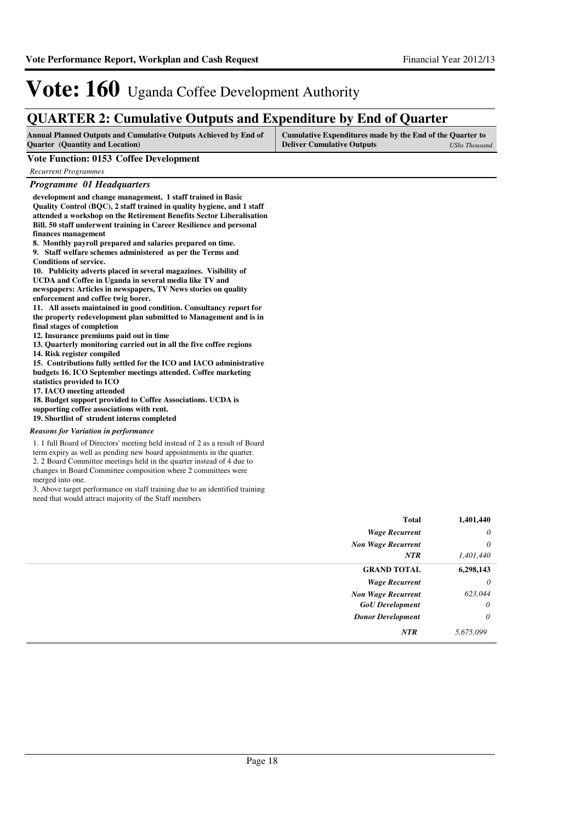### **QUARTER 2: Cumulative Outputs and Expenditure by End of Quarter**

| <b>Annual Planned Outputs and Cumulative Outputs Achieved by End of</b> | Cumulative Expenditures made by the End of the Quarter to |               |
|-------------------------------------------------------------------------|-----------------------------------------------------------|---------------|
| <b>Ouarter</b> (Quantity and Location)                                  | <b>Deliver Cumulative Outputs</b>                         | UShs Thousand |

#### **Vote Function: 0153 Coffee Development**

*Recurrent Programmes*

#### *Programme 01 Headquarters*

**development and change management, 1 staff trained in Basic Quality Control (BQC), 2 staff trained in quality hygiene, and 1 staff attended a workshop on the Retirement Benefits Sector Liberalisation Bill. 50 staff underwent training in Career Resilience and personal finances management**

**8. Monthly payroll prepared and salaries prepared on time. 9. Staff welfare schemes administered as per the Terms and Conditions of service.**

**10. Publicity adverts placed in several magazines. Visibility of UCDA and Coffee in Uganda in several media like TV and newspapers: Articles in newspapers, TV News stories on quality enforcement and coffee twig borer.**

**11. All assets maintained in good condition. Consultancy report for the property redevelopment plan submitted to Management and is in final stages of completion**

**12. Insurance premiums paid out in time**

**13. Quarterly monitoring carried out in all the five coffee regions**

**14. Risk register compiled**

**15. Contributions fully settled for the ICO and IACO administrative budgets 16. ICO September meetings attended. Coffee marketing statistics provided to ICO** 

**17. IACO meeting attended**

**18. Budget support provided to Coffee Associations. UCDA is supporting coffee associations with rent.**

**19. Shortlist of strudent interns completed**

#### *Reasons for Variation in performance*

1. 1 full Board of Directors' meeting held instead of 2 as a result of Board term expiry as well as pending new board appointments in the quarter. 2. 2 Board Committee meetings held in the quarter instead of 4 due to changes in Board Committee composition where 2 committees were merged into one.

3. Above target performance on staff training due to an identified training need that would attract majority of the Staff members

| <b>Total</b>              | 1,401,440 |
|---------------------------|-----------|
| <b>Wage Recurrent</b>     | $\theta$  |
| <b>Non Wage Recurrent</b> | $\theta$  |
| NTR                       | 1,401,440 |
| <b>GRAND TOTAL</b>        | 6,298,143 |
| <b>Wage Recurrent</b>     | $\theta$  |
| <b>Non Wage Recurrent</b> | 623,044   |
| <b>GoU</b> Development    | $\theta$  |
| <b>Donor Development</b>  | $\theta$  |
| NTR                       | 5,675,099 |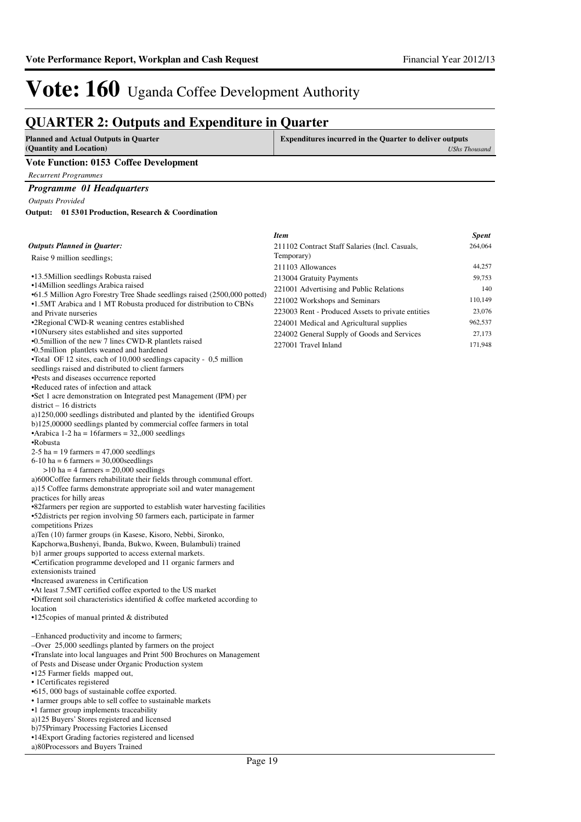### **QUARTER 2: Outputs and Expenditure in Quarter**

| <b>Planned and Actual Outputs in Quarter</b> | <b>Expenditures incurred in the Quarter to deliver outputs</b> |  |
|----------------------------------------------|----------------------------------------------------------------|--|
| (Quantity and Location)                      | <b>UShs Thousand</b>                                           |  |
| Vote Function: 0153 Coffee Development       |                                                                |  |
| Recurrent Programmes                         |                                                                |  |

#### *Programme 01 Headquarters*

*Outputs Provided*

**01 5301 Production, Research & Coordination Output:**

|                                                                                                      | <b>Item</b>                                       | <b>Spent</b> |
|------------------------------------------------------------------------------------------------------|---------------------------------------------------|--------------|
| Outputs Planned in Quarter:                                                                          | 211102 Contract Staff Salaries (Incl. Casuals,    | 264,064      |
| Raise 9 million seedlings;                                                                           | Temporary)                                        |              |
|                                                                                                      | 211103 Allowances                                 | 44,257       |
| •13.5Million seedlings Robusta raised                                                                | 213004 Gratuity Payments                          | 59,753       |
| •14Million seedlings Arabica raised                                                                  | 221001 Advertising and Public Relations           | 140          |
| •61.5 Million Agro Forestry Tree Shade seedlings raised (2500,000 potted)                            | 221002 Workshops and Seminars                     | 110,149      |
| •1.5MT Arabica and 1 MT Robusta produced for distribution to CBNs                                    | 223003 Rent - Produced Assets to private entities | 23,076       |
| and Private nurseries                                                                                |                                                   | 962,537      |
| •2 Regional CWD-R weaning centres established<br>•10Nursery sites established and sites supported    | 224001 Medical and Agricultural supplies          |              |
| •0.5 million of the new 7 lines CWD-R plantlets raised                                               | 224002 General Supply of Goods and Services       | 27,173       |
| •0.5 million plantlets weaned and hardened                                                           | 227001 Travel Inland                              | 171,948      |
| •Total OF 12 sites, each of 10,000 seedlings capacity - 0,5 million                                  |                                                   |              |
| seedlings raised and distributed to client farmers                                                   |                                                   |              |
| •Pests and diseases occurrence reported                                                              |                                                   |              |
| •Reduced rates of infection and attack                                                               |                                                   |              |
| •Set 1 acre demonstration on Integrated pest Management (IPM) per                                    |                                                   |              |
| $district - 16$ districts                                                                            |                                                   |              |
| a)1250,000 seedlings distributed and planted by the identified Groups                                |                                                   |              |
| b)125,00000 seedlings planted by commercial coffee farmers in total                                  |                                                   |              |
| • Arabica 1-2 ha = 16 farmers = $32,000$ seedlings                                                   |                                                   |              |
| •Robusta                                                                                             |                                                   |              |
| $2-5$ ha = 19 farmers = 47,000 seedlings<br>$6-10$ ha = 6 farmers = 30,000 seedlings                 |                                                   |              |
| $>10$ ha = 4 farmers = 20,000 seedlings                                                              |                                                   |              |
| a)600Coffee farmers rehabilitate their fields through communal effort.                               |                                                   |              |
| a)15 Coffee farms demonstrate appropriate soil and water management                                  |                                                   |              |
| practices for hilly areas                                                                            |                                                   |              |
| •82farmers per region are supported to establish water harvesting facilities                         |                                                   |              |
| •52 districts per region involving 50 farmers each, participate in farmer                            |                                                   |              |
| competitions Prizes                                                                                  |                                                   |              |
| a)Ten (10) farmer groups (in Kasese, Kisoro, Nebbi, Sironko,                                         |                                                   |              |
| Kapchorwa, Bushenyi, Ibanda, Bukwo, Kween, Bulambuli) trained                                        |                                                   |              |
| b)1 armer groups supported to access external markets.                                               |                                                   |              |
| •Certification programme developed and 11 organic farmers and                                        |                                                   |              |
| extensionists trained                                                                                |                                                   |              |
| •Increased awareness in Certification<br>• At least 7.5MT certified coffee exported to the US market |                                                   |              |
| •Different soil characteristics identified & coffee marketed according to                            |                                                   |              |
| location                                                                                             |                                                   |              |
| $\cdot$ 125 copies of manual printed & distributed                                                   |                                                   |              |
|                                                                                                      |                                                   |              |
| -Enhanced productivity and income to farmers;                                                        |                                                   |              |
| -Over 25,000 seedlings planted by farmers on the project                                             |                                                   |              |
| •Translate into local languages and Print 500 Brochures on Management                                |                                                   |              |
| of Pests and Disease under Organic Production system                                                 |                                                   |              |
| •125 Farmer fields mapped out,<br>• 1 Certificates registered                                        |                                                   |              |
| •615, 000 bags of sustainable coffee exported.                                                       |                                                   |              |
| • 1 armer groups able to sell coffee to sustainable markets                                          |                                                   |              |
| •1 farmer group implements traceability                                                              |                                                   |              |
| a)125 Buyers' Stores registered and licensed                                                         |                                                   |              |
| b)75Primary Processing Factories Licensed                                                            |                                                   |              |
| •14 Export Grading factories registered and licensed                                                 |                                                   |              |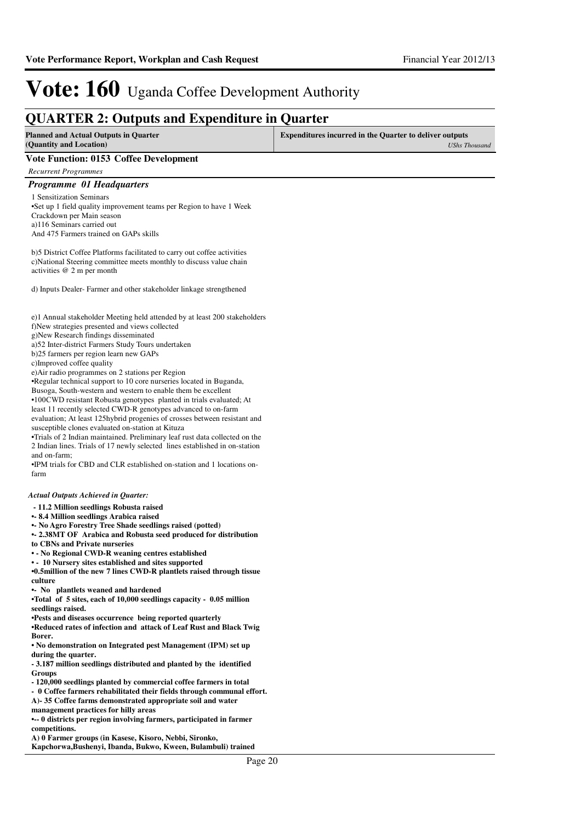| <b>QUARTER 2: Outputs and Expenditure in Quarter</b>                                                                                                                                                                                                                                                                                                                                                                                                                                                                                                                                                                                                                                                                                                                                                                                                                                                                                                                                                                                    |                                                                                        |  |  |  |
|-----------------------------------------------------------------------------------------------------------------------------------------------------------------------------------------------------------------------------------------------------------------------------------------------------------------------------------------------------------------------------------------------------------------------------------------------------------------------------------------------------------------------------------------------------------------------------------------------------------------------------------------------------------------------------------------------------------------------------------------------------------------------------------------------------------------------------------------------------------------------------------------------------------------------------------------------------------------------------------------------------------------------------------------|----------------------------------------------------------------------------------------|--|--|--|
| <b>Planned and Actual Outputs in Quarter</b><br>(Quantity and Location)                                                                                                                                                                                                                                                                                                                                                                                                                                                                                                                                                                                                                                                                                                                                                                                                                                                                                                                                                                 | <b>Expenditures incurred in the Quarter to deliver outputs</b><br><b>UShs Thousand</b> |  |  |  |
| <b>Vote Function: 0153 Coffee Development</b>                                                                                                                                                                                                                                                                                                                                                                                                                                                                                                                                                                                                                                                                                                                                                                                                                                                                                                                                                                                           |                                                                                        |  |  |  |
| <b>Recurrent Programmes</b>                                                                                                                                                                                                                                                                                                                                                                                                                                                                                                                                                                                                                                                                                                                                                                                                                                                                                                                                                                                                             |                                                                                        |  |  |  |
| Programme 01 Headquarters                                                                                                                                                                                                                                                                                                                                                                                                                                                                                                                                                                                                                                                                                                                                                                                                                                                                                                                                                                                                               |                                                                                        |  |  |  |
| 1 Sensitization Seminars<br>•Set up 1 field quality improvement teams per Region to have 1 Week<br>Crackdown per Main season<br>a)116 Seminars carried out<br>And 475 Farmers trained on GAPs skills                                                                                                                                                                                                                                                                                                                                                                                                                                                                                                                                                                                                                                                                                                                                                                                                                                    |                                                                                        |  |  |  |
| b) 5 District Coffee Platforms facilitated to carry out coffee activities<br>c) National Steering committee meets monthly to discuss value chain<br>activities $@$ 2 m per month                                                                                                                                                                                                                                                                                                                                                                                                                                                                                                                                                                                                                                                                                                                                                                                                                                                        |                                                                                        |  |  |  |
| d) Inputs Dealer-Farmer and other stakeholder linkage strengthened                                                                                                                                                                                                                                                                                                                                                                                                                                                                                                                                                                                                                                                                                                                                                                                                                                                                                                                                                                      |                                                                                        |  |  |  |
| e)1 Annual stakeholder Meeting held attended by at least 200 stakeholders<br>f)New strategies presented and views collected<br>g)New Research findings disseminated<br>a)52 Inter-district Farmers Study Tours undertaken<br>b)25 farmers per region learn new GAPs<br>c)Improved coffee quality<br>e) Air radio programmes on 2 stations per Region<br>•Regular technical support to 10 core nurseries located in Buganda,<br>Busoga, South-western and western to enable them be excellent<br>•100CWD resistant Robusta genotypes planted in trials evaluated; At<br>least 11 recently selected CWD-R genotypes advanced to on-farm<br>evaluation; At least 125hybrid progenies of crosses between resistant and<br>susceptible clones evaluated on-station at Kituza<br>•Trials of 2 Indian maintained. Preliminary leaf rust data collected on the<br>2 Indian lines. Trials of 17 newly selected lines established in on-station<br>and on-farm;<br>•IPM trials for CBD and CLR established on-station and 1 locations on-<br>farm |                                                                                        |  |  |  |
| <b>Actual Outputs Achieved in Quarter:</b>                                                                                                                                                                                                                                                                                                                                                                                                                                                                                                                                                                                                                                                                                                                                                                                                                                                                                                                                                                                              |                                                                                        |  |  |  |
| - 11.2 Million seedlings Robusta raised<br>• 8.4 Million seedlings Arabica raised<br>• No Agro Forestry Tree Shade seedlings raised (potted)<br>• 2.38MT OF Arabica and Robusta seed produced for distribution<br>to CBNs and Private nurseries<br>• - No Regional CWD-R weaning centres established<br>• - 10 Nursery sites established and sites supported<br><b>•0.5million of the new 7 lines CWD-R plantlets raised through tissue</b><br>culture                                                                                                                                                                                                                                                                                                                                                                                                                                                                                                                                                                                  |                                                                                        |  |  |  |
| • No plantlets weaned and hardened<br>•Total of 5 sites, each of 10,000 seedlings capacity - 0.05 million<br>seedlings raised.                                                                                                                                                                                                                                                                                                                                                                                                                                                                                                                                                                                                                                                                                                                                                                                                                                                                                                          |                                                                                        |  |  |  |
| • Pests and diseases occurrence being reported quarterly<br>•Reduced rates of infection and attack of Leaf Rust and Black Twig<br>Borer.<br>• No demonstration on Integrated pest Management (IPM) set up                                                                                                                                                                                                                                                                                                                                                                                                                                                                                                                                                                                                                                                                                                                                                                                                                               |                                                                                        |  |  |  |
| during the quarter.<br>-3.187 million seedlings distributed and planted by the identified                                                                                                                                                                                                                                                                                                                                                                                                                                                                                                                                                                                                                                                                                                                                                                                                                                                                                                                                               |                                                                                        |  |  |  |
| Groups<br>- 120,000 seedlings planted by commercial coffee farmers in total<br>- 0 Coffee farmers rehabilitated their fields through communal effort.<br>A)-35 Coffee farms demonstrated appropriate soil and water<br>management practices for hilly areas<br>0 districts per region involving farmers, participated in farmer                                                                                                                                                                                                                                                                                                                                                                                                                                                                                                                                                                                                                                                                                                         |                                                                                        |  |  |  |
| competitions.<br>A) 0 Farmer groups (in Kasese, Kisoro, Nebbi, Sironko,                                                                                                                                                                                                                                                                                                                                                                                                                                                                                                                                                                                                                                                                                                                                                                                                                                                                                                                                                                 |                                                                                        |  |  |  |

**Kapchorwa,Bushenyi, Ibanda, Bukwo, Kween, Bulambuli) trained**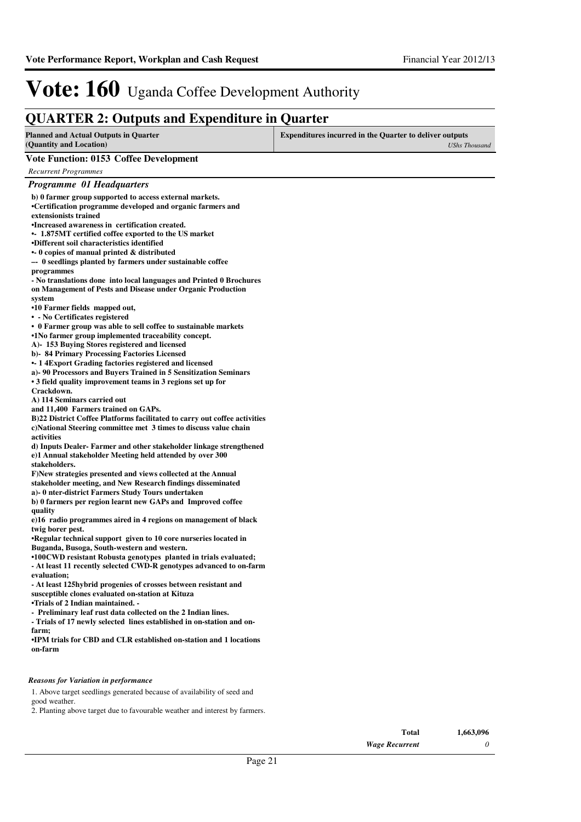### **QUARTER 2: Outputs and Expenditure in Quarter**

| QUANTER 2. Outputs and Expenditure in Quarter                                                                                                                                                                                                                                                                                                                                                                                                                                                                                                                                                                                                                                                                                                                                                                                                                                                                                                                                                                                                                                                                                                                                                                                                                                                                                                                                                                                                                                                                                                                                                                                                                                                                                                                                                                                                                                                                                                                                                                                                                                                                                                                                                                                                                                                                                                                                                                                             |                                                                                 |
|-------------------------------------------------------------------------------------------------------------------------------------------------------------------------------------------------------------------------------------------------------------------------------------------------------------------------------------------------------------------------------------------------------------------------------------------------------------------------------------------------------------------------------------------------------------------------------------------------------------------------------------------------------------------------------------------------------------------------------------------------------------------------------------------------------------------------------------------------------------------------------------------------------------------------------------------------------------------------------------------------------------------------------------------------------------------------------------------------------------------------------------------------------------------------------------------------------------------------------------------------------------------------------------------------------------------------------------------------------------------------------------------------------------------------------------------------------------------------------------------------------------------------------------------------------------------------------------------------------------------------------------------------------------------------------------------------------------------------------------------------------------------------------------------------------------------------------------------------------------------------------------------------------------------------------------------------------------------------------------------------------------------------------------------------------------------------------------------------------------------------------------------------------------------------------------------------------------------------------------------------------------------------------------------------------------------------------------------------------------------------------------------------------------------------------------------|---------------------------------------------------------------------------------|
| <b>Planned and Actual Outputs in Quarter</b><br>(Quantity and Location)                                                                                                                                                                                                                                                                                                                                                                                                                                                                                                                                                                                                                                                                                                                                                                                                                                                                                                                                                                                                                                                                                                                                                                                                                                                                                                                                                                                                                                                                                                                                                                                                                                                                                                                                                                                                                                                                                                                                                                                                                                                                                                                                                                                                                                                                                                                                                                   | Expenditures incurred in the Quarter to deliver outputs<br><b>UShs Thousand</b> |
| <b>Vote Function: 0153 Coffee Development</b>                                                                                                                                                                                                                                                                                                                                                                                                                                                                                                                                                                                                                                                                                                                                                                                                                                                                                                                                                                                                                                                                                                                                                                                                                                                                                                                                                                                                                                                                                                                                                                                                                                                                                                                                                                                                                                                                                                                                                                                                                                                                                                                                                                                                                                                                                                                                                                                             |                                                                                 |
| <b>Recurrent Programmes</b>                                                                                                                                                                                                                                                                                                                                                                                                                                                                                                                                                                                                                                                                                                                                                                                                                                                                                                                                                                                                                                                                                                                                                                                                                                                                                                                                                                                                                                                                                                                                                                                                                                                                                                                                                                                                                                                                                                                                                                                                                                                                                                                                                                                                                                                                                                                                                                                                               |                                                                                 |
| Programme 01 Headquarters                                                                                                                                                                                                                                                                                                                                                                                                                                                                                                                                                                                                                                                                                                                                                                                                                                                                                                                                                                                                                                                                                                                                                                                                                                                                                                                                                                                                                                                                                                                                                                                                                                                                                                                                                                                                                                                                                                                                                                                                                                                                                                                                                                                                                                                                                                                                                                                                                 |                                                                                 |
| b) 0 farmer group supported to access external markets.<br>•Certification programme developed and organic farmers and<br>extensionists trained<br>•Increased awareness in certification created.<br>• 1.875MT certified coffee exported to the US market<br>•Different soil characteristics identified<br>$\cdot$ 0 copies of manual printed & distributed<br>-- 0 seedlings planted by farmers under sustainable coffee<br>programmes<br>- No translations done into local languages and Printed 0 Brochures<br>on Management of Pests and Disease under Organic Production<br>system<br>•10 Farmer fields mapped out,<br>• - No Certificates registered<br>• 0 Farmer group was able to sell coffee to sustainable markets<br>•1No farmer group implemented traceability concept.<br>A) - 153 Buying Stores registered and licensed<br>b)- 84 Primary Processing Factories Licensed<br>• 14 Export Grading factories registered and licensed<br>a)-90 Processors and Buyers Trained in 5 Sensitization Seminars<br>• 3 field quality improvement teams in 3 regions set up for<br>Crackdown.<br>A) 114 Seminars carried out<br>and 11,400 Farmers trained on GAPs.<br>B)22 District Coffee Platforms facilitated to carry out coffee activities<br>c)National Steering committee met 3 times to discuss value chain<br>activities<br>d) Inputs Dealer-Farmer and other stakeholder linkage strengthened<br>e)1 Annual stakeholder Meeting held attended by over 300<br>stakeholders.<br>F)New strategies presented and views collected at the Annual<br>stakeholder meeting, and New Research findings disseminated<br>a)- 0 nter-district Farmers Study Tours undertaken<br>b) 0 farmers per region learnt new GAPs and Improved coffee<br>quality<br>e)16 radio programmes aired in 4 regions on management of black<br>twig borer pest.<br>•Regular technical support given to 10 core nurseries located in<br>Buganda, Busoga, South-western and western.<br>•100CWD resistant Robusta genotypes planted in trials evaluated;<br>- At least 11 recently selected CWD-R genotypes advanced to on-farm<br>evaluation:<br>- At least 125hybrid progenies of crosses between resistant and<br>susceptible clones evaluated on-station at Kituza<br>•Trials of 2 Indian maintained. -<br>- Preliminary leaf rust data collected on the 2 Indian lines.<br>- Trials of 17 newly selected lines established in on-station and on-<br>farm: |                                                                                 |
| •IPM trials for CBD and CLR established on-station and 1 locations<br>on-farm                                                                                                                                                                                                                                                                                                                                                                                                                                                                                                                                                                                                                                                                                                                                                                                                                                                                                                                                                                                                                                                                                                                                                                                                                                                                                                                                                                                                                                                                                                                                                                                                                                                                                                                                                                                                                                                                                                                                                                                                                                                                                                                                                                                                                                                                                                                                                             |                                                                                 |
|                                                                                                                                                                                                                                                                                                                                                                                                                                                                                                                                                                                                                                                                                                                                                                                                                                                                                                                                                                                                                                                                                                                                                                                                                                                                                                                                                                                                                                                                                                                                                                                                                                                                                                                                                                                                                                                                                                                                                                                                                                                                                                                                                                                                                                                                                                                                                                                                                                           |                                                                                 |
| Reasons for Variation in performance<br>1. Above target seedlings generated because of availability of seed and                                                                                                                                                                                                                                                                                                                                                                                                                                                                                                                                                                                                                                                                                                                                                                                                                                                                                                                                                                                                                                                                                                                                                                                                                                                                                                                                                                                                                                                                                                                                                                                                                                                                                                                                                                                                                                                                                                                                                                                                                                                                                                                                                                                                                                                                                                                           |                                                                                 |
| good weather.                                                                                                                                                                                                                                                                                                                                                                                                                                                                                                                                                                                                                                                                                                                                                                                                                                                                                                                                                                                                                                                                                                                                                                                                                                                                                                                                                                                                                                                                                                                                                                                                                                                                                                                                                                                                                                                                                                                                                                                                                                                                                                                                                                                                                                                                                                                                                                                                                             |                                                                                 |

2. Planting above target due to favourable weather and interest by farmers.

*Wage Recurrent* **Total** *0* **1,663,096**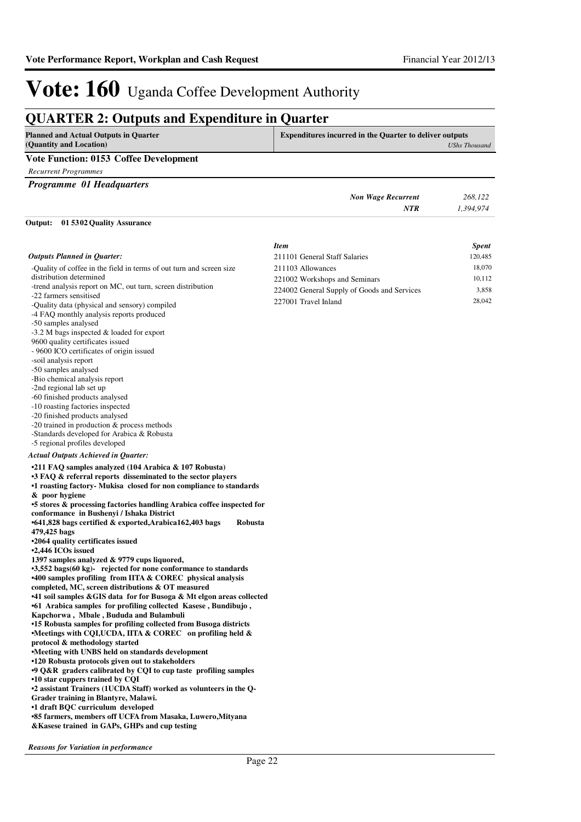### **QUARTER 2: Outputs and Expenditure in Quarter**

| <b>Planned and Actual Outputs in Quarter</b><br>(Quantity and Location) | <b>Expenditures incurred in the Quarter to deliver outputs</b> | UShs Thousand |
|-------------------------------------------------------------------------|----------------------------------------------------------------|---------------|
| <b>Vote Function: 0153 Coffee Development</b>                           |                                                                |               |
| Recurrent Programmes                                                    |                                                                |               |
| <b>Programme 01 Headquarters</b>                                        |                                                                |               |
|                                                                         | <b>Non Wage Recurrent</b>                                      | 268,122       |
|                                                                         | NTR                                                            | 1.394.974     |

#### **01 5302 Quality Assurance Output:**

|                                                                                                | <b>Item</b>                                 | <b>Spent</b> |
|------------------------------------------------------------------------------------------------|---------------------------------------------|--------------|
| <b>Outputs Planned in Quarter:</b>                                                             | 211101 General Staff Salaries               | 120,485      |
| -Quality of coffee in the field in terms of out turn and screen size                           | 211103 Allowances                           | 18,070       |
| distribution determined                                                                        | 221002 Workshops and Seminars               | 10,112       |
| -trend analysis report on MC, out turn, screen distribution                                    | 224002 General Supply of Goods and Services | 3,858        |
| -22 farmers sensitised                                                                         | 227001 Travel Inland                        | 28,042       |
| -Quality data (physical and sensory) compiled                                                  |                                             |              |
| -4 FAQ monthly analysis reports produced                                                       |                                             |              |
| -50 samples analysed                                                                           |                                             |              |
| $-3.2$ M bags inspected & loaded for export<br>9600 quality certificates issued                |                                             |              |
| - 9600 ICO certificates of origin issued                                                       |                                             |              |
| -soil analysis report                                                                          |                                             |              |
| -50 samples analysed                                                                           |                                             |              |
| -Bio chemical analysis report                                                                  |                                             |              |
| -2nd regional lab set up                                                                       |                                             |              |
| -60 finished products analysed                                                                 |                                             |              |
| -10 roasting factories inspected                                                               |                                             |              |
| -20 finished products analysed                                                                 |                                             |              |
| -20 trained in production $&$ process methods                                                  |                                             |              |
| -Standards developed for Arabica & Robusta                                                     |                                             |              |
| -5 regional profiles developed                                                                 |                                             |              |
| <b>Actual Outputs Achieved in Quarter:</b>                                                     |                                             |              |
| •211 FAQ samples analyzed (104 Arabica & 107 Robusta)                                          |                                             |              |
| •3 FAQ & referral reports disseminated to the sector players                                   |                                             |              |
| •1 roasting factory Mukisa closed for non compliance to standards                              |                                             |              |
| & poor hygiene                                                                                 |                                             |              |
| •5 stores & processing factories handling Arabica coffee inspected for                         |                                             |              |
| conformance in Bushenyi / Ishaka District                                                      |                                             |              |
| •641,828 bags certified & exported, Arabica162,403 bags<br>Robusta<br>479,425 bags             |                                             |              |
| •2064 quality certificates issued                                                              |                                             |              |
| •2,446 ICOs issued                                                                             |                                             |              |
| 1397 samples analyzed & 9779 cups liquored,                                                    |                                             |              |
| •3,552 bags(60 kg)- rejected for none conformance to standards                                 |                                             |              |
| <b>•400 samples profiling from IITA &amp; COREC physical analysis</b>                          |                                             |              |
| completed, MC, screen distributions & OT measured                                              |                                             |              |
| •41 soil samples & GIS data for for Busoga & Mt elgon areas collected                          |                                             |              |
| •61 Arabica samples for profiling collected Kasese, Bundibujo,                                 |                                             |              |
| Kapchorwa, Mbale, Bududa and Bulambuli                                                         |                                             |              |
| •15 Robusta samples for profiling collected from Busoga districts                              |                                             |              |
| •Meetings with CQI,UCDA, IITA & COREC on profiling held $\&$<br>protocol & methodology started |                                             |              |
| •Meeting with UNBS held on standards development                                               |                                             |              |
| •120 Robusta protocols given out to stakeholders                                               |                                             |              |
| $\cdot$ 9 Q&R graders calibrated by CQI to cup taste profiling samples                         |                                             |              |
| •10 star cuppers trained by CQI                                                                |                                             |              |
| •2 assistant Trainers (1UCDA Staff) worked as volunteers in the Q-                             |                                             |              |
| Grader training in Blantyre, Malawi.                                                           |                                             |              |
| •1 draft BQC curriculum developed                                                              |                                             |              |
| •85 farmers, members off UCFA from Masaka, Luwero, Mityana                                     |                                             |              |
| & Kasese trained in GAPs, GHPs and cup testing                                                 |                                             |              |
|                                                                                                |                                             |              |

*Reasons for Variation in performance*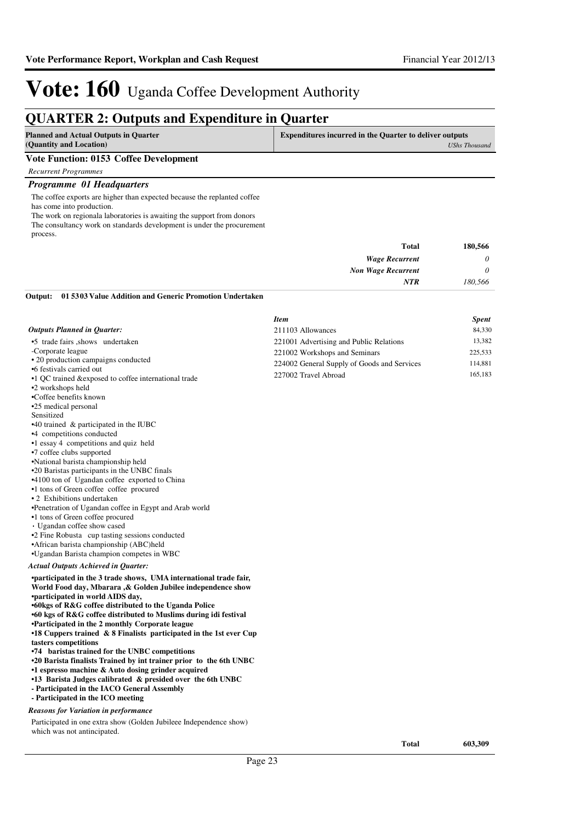### **QUARTER 2: Outputs and Expenditure in Quarter**

| <b>Planned and Actual Outputs in Ouarter</b> | <b>Expenditures incurred in the Quarter to deliver outputs</b> |  |
|----------------------------------------------|----------------------------------------------------------------|--|
| (Quantity and Location)                      | <b>UShs Thousand</b>                                           |  |
| Vote Function: 0153 Coffee Development       |                                                                |  |

*Recurrent Programmes*

#### *Programme 01 Headquarters*

The coffee exports are higher than expected because the replanted coffee has come into production.

The work on regionala laboratories is awaiting the support from donors The consultancy work on standards development is under the procurement process.

| 180,566  | <b>Total</b>              |
|----------|---------------------------|
| $\theta$ | <b>Wage Recurrent</b>     |
| $\theta$ | <b>Non Wage Recurrent</b> |
| 180,566  | <b>NTR</b>                |
|          |                           |

#### **01 5303 Value Addition and Generic Promotion Undertaken Output:**

|                                                                                                                           | <b>Item</b>                                 | <b>Spent</b> |
|---------------------------------------------------------------------------------------------------------------------------|---------------------------------------------|--------------|
| <b>Outputs Planned in Quarter:</b>                                                                                        | 211103 Allowances                           | 84,330       |
| •5 trade fairs shows undertaken                                                                                           | 221001 Advertising and Public Relations     | 13,382       |
| -Corporate league                                                                                                         | 221002 Workshops and Seminars               | 225,533      |
| • 20 production campaigns conducted                                                                                       | 224002 General Supply of Goods and Services | 114,881      |
| •6 festivals carried out                                                                                                  | 227002 Travel Abroad                        | 165,183      |
| •1 QC trained & exposed to coffee international trade                                                                     |                                             |              |
| •2 workshops held<br>•Coffee benefits known                                                                               |                                             |              |
| •25 medical personal                                                                                                      |                                             |              |
| Sensitized                                                                                                                |                                             |              |
| $\cdot$ 40 trained & participated in the IUBC                                                                             |                                             |              |
| •4 competitions conducted                                                                                                 |                                             |              |
| •1 essay 4 competitions and quiz held                                                                                     |                                             |              |
| •7 coffee clubs supported                                                                                                 |                                             |              |
| •National barista championship held                                                                                       |                                             |              |
| •20 Baristas participants in the UNBC finals                                                                              |                                             |              |
| •4100 ton of Ugandan coffee exported to China                                                                             |                                             |              |
| •1 tons of Green coffee coffee procured                                                                                   |                                             |              |
| • 2 Exhibitions undertaken                                                                                                |                                             |              |
| •Penetration of Ugandan coffee in Egypt and Arab world                                                                    |                                             |              |
| •1 tons of Green coffee procured                                                                                          |                                             |              |
| Ugandan coffee show cased                                                                                                 |                                             |              |
| •2 Fine Robusta cup tasting sessions conducted<br>•African barista championship (ABC)held                                 |                                             |              |
| •Ugandan Barista champion competes in WBC                                                                                 |                                             |              |
|                                                                                                                           |                                             |              |
| <b>Actual Outputs Achieved in Quarter:</b>                                                                                |                                             |              |
| •participated in the 3 trade shows, UMA international trade fair,                                                         |                                             |              |
| World Food day, Mbarara, & Golden Jubilee independence show                                                               |                                             |              |
| •participated in world AIDS day,                                                                                          |                                             |              |
| •60kgs of R&G coffee distributed to the Uganda Police<br>•60 kgs of R&G coffee distributed to Muslims during idi festival |                                             |              |
| •Participated in the 2 monthly Corporate league                                                                           |                                             |              |
| $\cdot$ 18 Cuppers trained & 8 Finalists participated in the 1st ever Cup                                                 |                                             |              |
| tasters competitions                                                                                                      |                                             |              |
| •74 baristas trained for the UNBC competitions                                                                            |                                             |              |
| •20 Barista finalists Trained by int trainer prior to the 6th UNBC                                                        |                                             |              |
| •1 espresso machine & Auto dosing grinder acquired                                                                        |                                             |              |
| •13 Barista Judges calibrated & presided over the 6th UNBC                                                                |                                             |              |
| - Participated in the IACO General Assembly                                                                               |                                             |              |
| - Participated in the ICO meeting                                                                                         |                                             |              |
|                                                                                                                           |                                             |              |

#### *Reasons for Variation in performance*

Participated in one extra show (Golden Jubileee Independence show) which was not antincipated.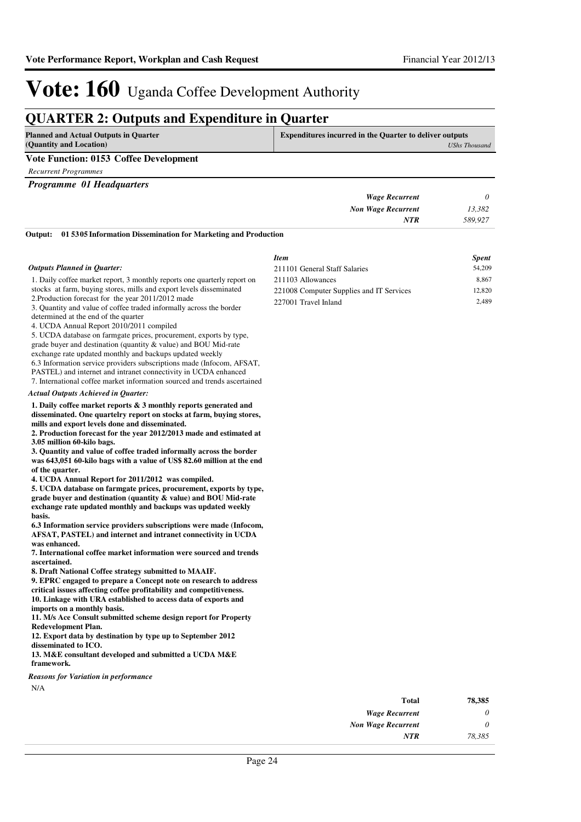### **QUARTER 2: Outputs and Expenditure in Quarter**

| <b>Planned and Actual Outputs in Quarter</b>  | <b>Expenditures incurred in the Quarter to deliver outputs</b> |  |
|-----------------------------------------------|----------------------------------------------------------------|--|
| (Quantity and Location)                       | UShs Thousand                                                  |  |
| <b>Vote Function: 0153 Coffee Development</b> |                                                                |  |

*Recurrent Programmes*

*Programme 01 Headquarters*

|         | _                         |  |
|---------|---------------------------|--|
|         | <b>Wage Recurrent</b>     |  |
| 13,382  | <b>Non Wage Recurrent</b> |  |
| 589,927 | <b>NTR</b>                |  |
|         |                           |  |

**01 5305 Information Dissemination for Marketing and Production Output:**

|                                                                                                                                       | <b>Item</b>                              | <b>Spent</b> |
|---------------------------------------------------------------------------------------------------------------------------------------|------------------------------------------|--------------|
| <b>Outputs Planned in Quarter:</b>                                                                                                    | 211101 General Staff Salaries            | 54,209       |
| 1. Daily coffee market report, 3 monthly reports one quarterly report on                                                              | 211103 Allowances                        | 8,867        |
| stocks at farm, buying stores, mills and export levels disseminated                                                                   | 221008 Computer Supplies and IT Services | 12,820       |
| 2. Production forecast for the year 2011/2012 made                                                                                    | 227001 Travel Inland                     | 2,489        |
| 3. Quantity and value of coffee traded informally across the border                                                                   |                                          |              |
| determined at the end of the quarter                                                                                                  |                                          |              |
| 4. UCDA Annual Report 2010/2011 compiled<br>5. UCDA database on farmgate prices, procurement, exports by type,                        |                                          |              |
| grade buyer and destination (quantity & value) and BOU Mid-rate                                                                       |                                          |              |
| exchange rate updated monthly and backups updated weekly                                                                              |                                          |              |
| 6.3 Information service providers subscriptions made (Infocom, AFSAT,                                                                 |                                          |              |
| PASTEL) and internet and intranet connectivity in UCDA enhanced                                                                       |                                          |              |
| 7. International coffee market information sourced and trends ascertained                                                             |                                          |              |
| <b>Actual Outputs Achieved in Ouarter:</b>                                                                                            |                                          |              |
| 1. Daily coffee market reports $\&$ 3 monthly reports generated and                                                                   |                                          |              |
| disseminated. One quartelry report on stocks at farm, buying stores,                                                                  |                                          |              |
| mills and export levels done and disseminated.<br>2. Production forecast for the year 2012/2013 made and estimated at                 |                                          |              |
| 3.05 million 60-kilo bags.                                                                                                            |                                          |              |
| 3. Quantity and value of coffee traded informally across the border                                                                   |                                          |              |
| was 643,051 60-kilo bags with a value of US\$ 82.60 million at the end                                                                |                                          |              |
| of the quarter.                                                                                                                       |                                          |              |
| 4. UCDA Annual Report for 2011/2012 was compiled.                                                                                     |                                          |              |
| 5. UCDA database on farmgate prices, procurement, exports by type,                                                                    |                                          |              |
| grade buyer and destination (quantity & value) and BOU Mid-rate                                                                       |                                          |              |
| exchange rate updated monthly and backups was updated weekly<br>basis.                                                                |                                          |              |
| 6.3 Information service providers subscriptions were made (Infocom,                                                                   |                                          |              |
| AFSAT, PASTEL) and internet and intranet connectivity in UCDA                                                                         |                                          |              |
| was enhanced.                                                                                                                         |                                          |              |
| 7. International coffee market information were sourced and trends                                                                    |                                          |              |
| ascertained.                                                                                                                          |                                          |              |
| 8. Draft National Coffee strategy submitted to MAAIF.                                                                                 |                                          |              |
| 9. EPRC engaged to prepare a Concept note on research to address                                                                      |                                          |              |
| critical issues affecting coffee profitability and competitiveness.<br>10. Linkage with URA established to access data of exports and |                                          |              |
| imports on a monthly basis.                                                                                                           |                                          |              |
| 11. M/s Ace Consult submitted scheme design report for Property                                                                       |                                          |              |
| <b>Redevelopment Plan.</b>                                                                                                            |                                          |              |
| 12. Export data by destination by type up to September 2012                                                                           |                                          |              |
| disseminated to ICO.                                                                                                                  |                                          |              |
| 13. M&E consultant developed and submitted a UCDA M&E                                                                                 |                                          |              |
| framework.                                                                                                                            |                                          |              |

*Reasons for Variation in performance*

N/A

| Total                     | 78,385 |
|---------------------------|--------|
| <b>Wage Recurrent</b>     | 0      |
| <b>Non Wage Recurrent</b> | 0      |
| NTR                       | 78.385 |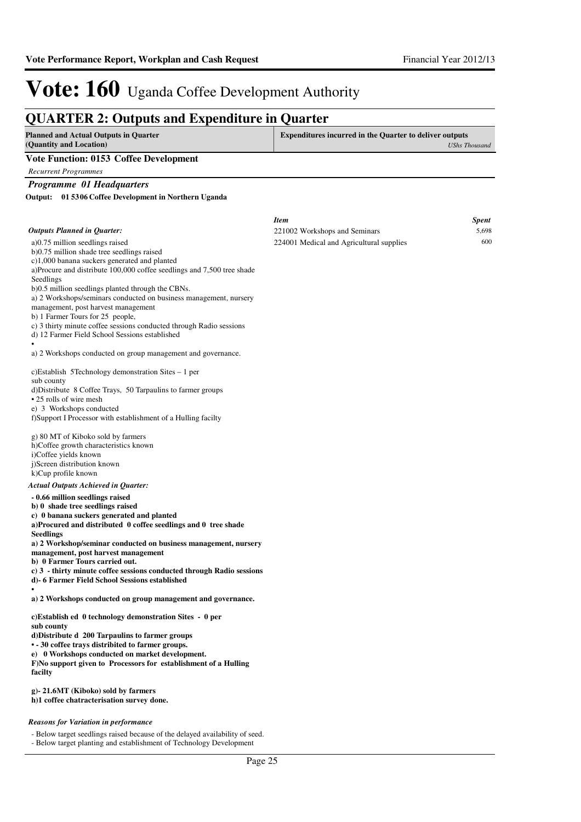| <b>QUARTER 2: Outputs and Expenditure in Quarter</b>                                                    |                                                                |                      |
|---------------------------------------------------------------------------------------------------------|----------------------------------------------------------------|----------------------|
| <b>Planned and Actual Outputs in Quarter</b><br>(Quantity and Location)                                 | <b>Expenditures incurred in the Quarter to deliver outputs</b> | <b>UShs Thousand</b> |
| <b>Vote Function: 0153 Coffee Development</b>                                                           |                                                                |                      |
| <b>Recurrent Programmes</b>                                                                             |                                                                |                      |
| Programme 01 Headquarters                                                                               |                                                                |                      |
| Output:<br>01 5306 Coffee Development in Northern Uganda                                                |                                                                |                      |
|                                                                                                         |                                                                |                      |
|                                                                                                         | <b>Item</b>                                                    | <b>Spent</b>         |
| <b>Outputs Planned in Quarter:</b>                                                                      | 221002 Workshops and Seminars                                  | 5,698<br>600         |
| a)0.75 million seedlings raised<br>b)0.75 million shade tree seedlings raised                           | 224001 Medical and Agricultural supplies                       |                      |
| c)1,000 banana suckers generated and planted                                                            |                                                                |                      |
| a)Procure and distribute 100,000 coffee seedlings and 7,500 tree shade<br>Seedlings                     |                                                                |                      |
| b)0.5 million seedlings planted through the CBNs.                                                       |                                                                |                      |
| a) 2 Workshops/seminars conducted on business management, nursery                                       |                                                                |                      |
| management, post harvest management<br>b) 1 Farmer Tours for 25 people,                                 |                                                                |                      |
| c) 3 thirty minute coffee sessions conducted through Radio sessions                                     |                                                                |                      |
| d) 12 Farmer Field School Sessions established<br>$\bullet$                                             |                                                                |                      |
| a) 2 Workshops conducted on group management and governance.                                            |                                                                |                      |
| c)Establish 5Technology demonstration Sites – 1 per                                                     |                                                                |                      |
| sub county<br>d)Distribute 8 Coffee Trays, 50 Tarpaulins to farmer groups                               |                                                                |                      |
| • 25 rolls of wire mesh                                                                                 |                                                                |                      |
| e) 3 Workshops conducted<br>f)Support I Processor with establishment of a Hulling facilty               |                                                                |                      |
|                                                                                                         |                                                                |                      |
| g) 80 MT of Kiboko sold by farmers                                                                      |                                                                |                      |
| h)Coffee growth characteristics known<br>i)Coffee yields known                                          |                                                                |                      |
| j)Screen distribution known                                                                             |                                                                |                      |
| k)Cup profile known                                                                                     |                                                                |                      |
| <b>Actual Outputs Achieved in Quarter:</b>                                                              |                                                                |                      |
| - 0.66 million seedlings raised<br>b) 0 shade tree seedlings raised                                     |                                                                |                      |
| c) 0 banana suckers generated and planted                                                               |                                                                |                      |
| a)Procured and distributed 0 coffee seedlings and 0 tree shade                                          |                                                                |                      |
| Seedlings<br>a) 2 Workshop/seminar conducted on business management, nursery                            |                                                                |                      |
| management, post harvest management                                                                     |                                                                |                      |
| b) 0 Farmer Tours carried out.<br>c) 3 - thirty minute coffee sessions conducted through Radio sessions |                                                                |                      |
| d)- 6 Farmer Field School Sessions established                                                          |                                                                |                      |
| a) 2 Workshops conducted on group management and governance.                                            |                                                                |                      |
| c)Establish ed 0 technology demonstration Sites - 0 per                                                 |                                                                |                      |
| sub county                                                                                              |                                                                |                      |
| d)Distribute d 200 Tarpaulins to farmer groups<br>• - 30 coffee travs distribited to farmer groups.     |                                                                |                      |
| e) 0 Workshops conducted on market development.                                                         |                                                                |                      |
| F)No support given to Processors for establishment of a Hulling                                         |                                                                |                      |
| facilty                                                                                                 |                                                                |                      |
| g)- 21.6MT (Kiboko) sold by farmers                                                                     |                                                                |                      |
| h)1 coffee chatracterisation survey done.                                                               |                                                                |                      |
| <b>Reasons for Variation in performance</b>                                                             |                                                                |                      |
| - Below target seedlings raised because of the delayed availability of seed.                            |                                                                |                      |

- Below target planting and establishment of Technology Development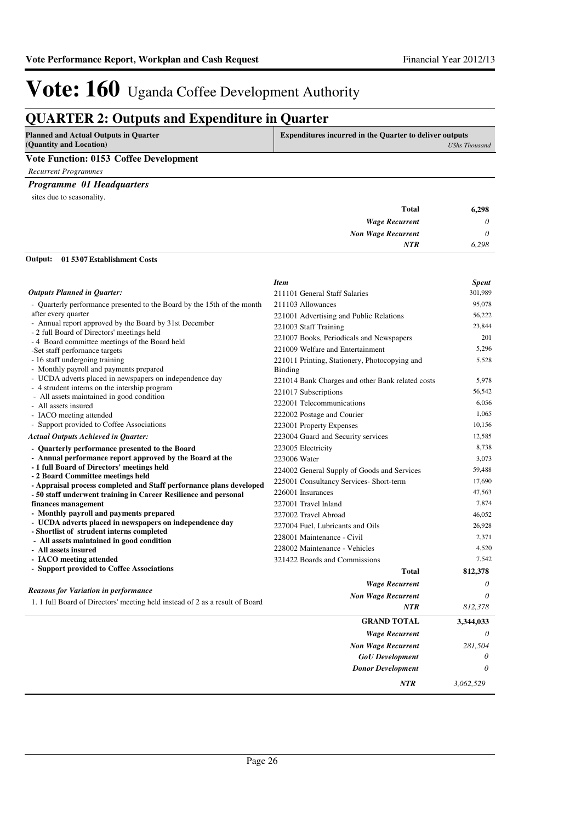### **QUARTER 2: Outputs and Expenditure in Quarter**

| <b>Planned and Actual Outputs in Quarter</b> | <b>Expenditures incurred in the Quarter to deliver outputs</b> |
|----------------------------------------------|----------------------------------------------------------------|
| (Quantity and Location)                      | <b>UShs Thousand</b>                                           |
| Vote Function: 0153 Coffee Development       |                                                                |

*Recurrent Programmes*

#### *Programme 01 Headquarters*

sites due to seasonality.

| __<br><b>Total</b>        | 6,298    |
|---------------------------|----------|
| <b>Wage Recurrent</b>     | $\theta$ |
| <b>Non Wage Recurrent</b> | $\theta$ |
| <b>NTR</b>                | 6,298    |
|                           |          |

#### **01 5307 Establishment Costs Output:**

|                                                                                        | <b>Item</b>                                      | <b>Spent</b> |
|----------------------------------------------------------------------------------------|--------------------------------------------------|--------------|
| <b>Outputs Planned in Quarter:</b>                                                     | 211101 General Staff Salaries                    | 301,989      |
| - Quarterly performance presented to the Board by the 15th of the month                | 211103 Allowances                                | 95,078       |
| after every quarter                                                                    | 221001 Advertising and Public Relations          | 56,222       |
| - Annual report approved by the Board by 31st December                                 | 221003 Staff Training                            | 23,844       |
| - 2 full Board of Directors' meetings held                                             | 221007 Books, Periodicals and Newspapers         | 201          |
| - 4 Board committee meetings of the Board held<br>-Set staff performance targets       | 221009 Welfare and Entertainment                 | 5,296        |
| - 16 staff undergoing training                                                         | 221011 Printing, Stationery, Photocopying and    | 5,528        |
| - Monthly payroll and payments prepared                                                | Binding                                          |              |
| - UCDA adverts placed in newspapers on independence day                                | 221014 Bank Charges and other Bank related costs | 5,978        |
| - 4 strudent interns on the intership program                                          | 221017 Subscriptions                             | 56,542       |
| - All assets maintained in good condition                                              | 222001 Telecommunications                        | 6,056        |
| - All assets insured<br>- IACO meeting attended                                        | 222002 Postage and Courier                       | 1,065        |
| - Support provided to Coffee Associations                                              | 223001 Property Expenses                         | 10.156       |
| <b>Actual Outputs Achieved in Quarter:</b>                                             | 223004 Guard and Security services               | 12,585       |
| - Quarterly performance presented to the Board                                         | 223005 Electricity                               | 8,738        |
| - Annual performance report approved by the Board at the                               | 223006 Water                                     | 3,073        |
| - 1 full Board of Directors' meetings held                                             |                                                  | 59.488       |
| - 2 Board Committee meetings held                                                      | 224002 General Supply of Goods and Services      |              |
| - Appraisal process completed and Staff performance plans developed                    | 225001 Consultancy Services- Short-term          | 17,690       |
| - 50 staff underwent training in Career Resilience and personal                        | 226001 Insurances                                | 47,563       |
| finances management                                                                    | 227001 Travel Inland                             | 7.874        |
| - Monthly payroll and payments prepared                                                | 227002 Travel Abroad                             | 46,052       |
| - UCDA adverts placed in newspapers on independence day                                | 227004 Fuel, Lubricants and Oils                 | 26,928       |
| - Shortlist of strudent interns completed<br>- All assets maintained in good condition | 228001 Maintenance - Civil                       | 2,371        |
| - All assets insured                                                                   | 228002 Maintenance - Vehicles                    | 4,520        |
| - IACO meeting attended                                                                | 321422 Boards and Commissions                    | 7.542        |
| - Support provided to Coffee Associations                                              | <b>Total</b>                                     | 812,378      |
|                                                                                        | <b>Wage Recurrent</b>                            | $\theta$     |
| <b>Reasons for Variation in performance</b>                                            |                                                  | $\theta$     |
| 1. 1 full Board of Directors' meeting held instead of 2 as a result of Board           | <b>Non Wage Recurrent</b>                        |              |
|                                                                                        | <b>NTR</b>                                       | 812,378      |
|                                                                                        | <b>GRAND TOTAL</b>                               | 3,344,033    |
|                                                                                        | <b>Wage Recurrent</b>                            | $\theta$     |
|                                                                                        | <b>Non Wage Recurrent</b>                        | 281.504      |
|                                                                                        | <b>GoU</b> Development                           | 0            |
|                                                                                        | <b>Donor Development</b>                         | $\theta$     |
|                                                                                        | NTR                                              | 3.062.529    |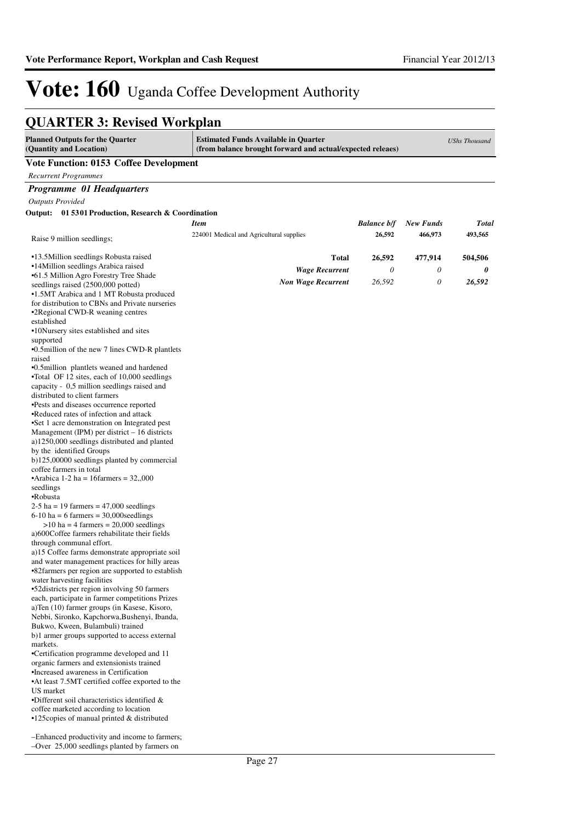### **QUARTER 3: Revised Workplan**

| <b>Estimated Funds Available in Quarter</b><br><b>Planned Outputs for the Quarter</b><br>(Quantity and Location)<br>(from balance brought forward and actual/expected releaes) |                                          |                    | <b>UShs Thousand</b> |              |
|--------------------------------------------------------------------------------------------------------------------------------------------------------------------------------|------------------------------------------|--------------------|----------------------|--------------|
| <b>Vote Function: 0153 Coffee Development</b>                                                                                                                                  |                                          |                    |                      |              |
| <b>Recurrent Programmes</b>                                                                                                                                                    |                                          |                    |                      |              |
| Programme 01 Headquarters                                                                                                                                                      |                                          |                    |                      |              |
| <b>Outputs Provided</b>                                                                                                                                                        |                                          |                    |                      |              |
| Output: 01 5301 Production, Research & Coordination                                                                                                                            |                                          |                    |                      |              |
|                                                                                                                                                                                | <b>Item</b>                              | <b>Balance b/f</b> | <b>New Funds</b>     | <b>Total</b> |
| Raise 9 million seedlings;                                                                                                                                                     | 224001 Medical and Agricultural supplies | 26,592             | 466,973              | 493,565      |
| •13.5 Million seedlings Robusta raised                                                                                                                                         | <b>Total</b>                             | 26,592             | 477,914              | 504,506      |
| •14Million seedlings Arabica raised                                                                                                                                            | <b>Wage Recurrent</b>                    | 0                  | 0                    | 0            |
| •61.5 Million Agro Forestry Tree Shade                                                                                                                                         | <b>Non Wage Recurrent</b>                | 26,592             | $\theta$             | 26,592       |
| seedlings raised (2500,000 potted)                                                                                                                                             |                                          |                    |                      |              |
| •1.5MT Arabica and 1 MT Robusta produced<br>for distribution to CBNs and Private nurseries                                                                                     |                                          |                    |                      |              |
| •2 Regional CWD-R weaning centres                                                                                                                                              |                                          |                    |                      |              |
| established                                                                                                                                                                    |                                          |                    |                      |              |
| •10Nursery sites established and sites                                                                                                                                         |                                          |                    |                      |              |
| supported                                                                                                                                                                      |                                          |                    |                      |              |
| •0.5 million of the new 7 lines CWD-R plantlets                                                                                                                                |                                          |                    |                      |              |
| raised                                                                                                                                                                         |                                          |                    |                      |              |
| •0.5 million plantlets weaned and hardened                                                                                                                                     |                                          |                    |                      |              |
| •Total OF 12 sites, each of 10,000 seedlings<br>capacity - 0,5 million seedlings raised and                                                                                    |                                          |                    |                      |              |
| distributed to client farmers                                                                                                                                                  |                                          |                    |                      |              |
| •Pests and diseases occurrence reported                                                                                                                                        |                                          |                    |                      |              |
| •Reduced rates of infection and attack                                                                                                                                         |                                          |                    |                      |              |
| •Set 1 acre demonstration on Integrated pest                                                                                                                                   |                                          |                    |                      |              |
| Management (IPM) per district $-16$ districts                                                                                                                                  |                                          |                    |                      |              |
| a)1250,000 seedlings distributed and planted                                                                                                                                   |                                          |                    |                      |              |
| by the identified Groups                                                                                                                                                       |                                          |                    |                      |              |
| b)125,00000 seedlings planted by commercial<br>coffee farmers in total                                                                                                         |                                          |                    |                      |              |
| •Arabica 1-2 ha = 16 farmers = $32,000$                                                                                                                                        |                                          |                    |                      |              |
| seedlings                                                                                                                                                                      |                                          |                    |                      |              |
| •Robusta                                                                                                                                                                       |                                          |                    |                      |              |
| $2-5$ ha = 19 farmers = 47,000 seedlings                                                                                                                                       |                                          |                    |                      |              |
| $6-10$ ha = 6 farmers = 30,000 seedlings                                                                                                                                       |                                          |                    |                      |              |
| $>10$ ha = 4 farmers = 20,000 seedlings                                                                                                                                        |                                          |                    |                      |              |
| a)600Coffee farmers rehabilitate their fields<br>through communal effort.                                                                                                      |                                          |                    |                      |              |
| a)15 Coffee farms demonstrate appropriate soil                                                                                                                                 |                                          |                    |                      |              |
| and water management practices for hilly areas                                                                                                                                 |                                          |                    |                      |              |
| •82farmers per region are supported to establish                                                                                                                               |                                          |                    |                      |              |
| water harvesting facilities                                                                                                                                                    |                                          |                    |                      |              |
| •52 districts per region involving 50 farmers                                                                                                                                  |                                          |                    |                      |              |
| each, participate in farmer competitions Prizes                                                                                                                                |                                          |                    |                      |              |
| a)Ten (10) farmer groups (in Kasese, Kisoro,<br>Nebbi, Sironko, Kapchorwa, Bushenyi, Ibanda,                                                                                   |                                          |                    |                      |              |
| Bukwo, Kween, Bulambuli) trained                                                                                                                                               |                                          |                    |                      |              |
| b)1 armer groups supported to access external                                                                                                                                  |                                          |                    |                      |              |
| markets.                                                                                                                                                                       |                                          |                    |                      |              |
| •Certification programme developed and 11                                                                                                                                      |                                          |                    |                      |              |
| organic farmers and extensionists trained                                                                                                                                      |                                          |                    |                      |              |
| •Increased awareness in Certification                                                                                                                                          |                                          |                    |                      |              |
| •At least 7.5MT certified coffee exported to the                                                                                                                               |                                          |                    |                      |              |
| US market<br>•Different soil characteristics identified $\&$                                                                                                                   |                                          |                    |                      |              |
| coffee marketed according to location                                                                                                                                          |                                          |                    |                      |              |
| $\cdot$ 125 copies of manual printed & distributed                                                                                                                             |                                          |                    |                      |              |
|                                                                                                                                                                                |                                          |                    |                      |              |
| -Enhanced productivity and income to farmers;                                                                                                                                  |                                          |                    |                      |              |
| -Over 25,000 seedlings planted by farmers on                                                                                                                                   |                                          |                    |                      |              |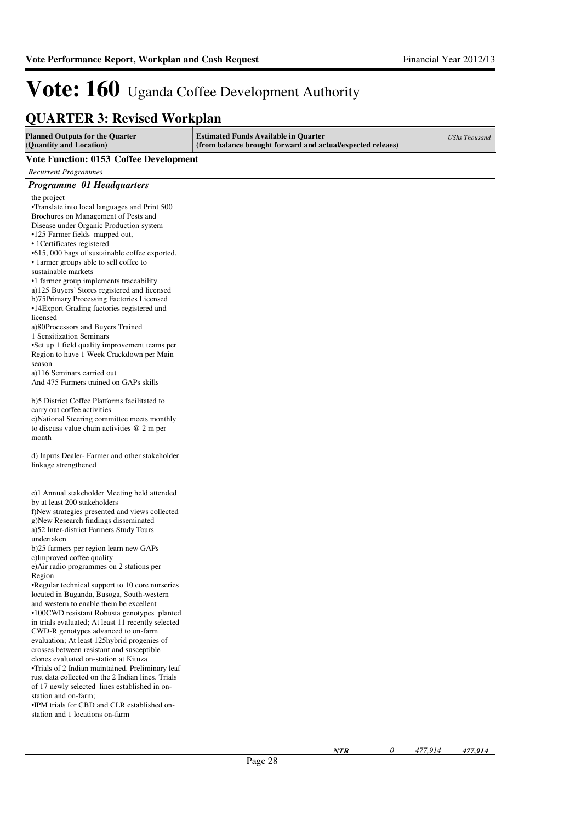### **QUARTER 3: Revised Workplan**

| QUARTER 9. Revised WOLKPIAN                                                                           |                                                                                                           |                      |
|-------------------------------------------------------------------------------------------------------|-----------------------------------------------------------------------------------------------------------|----------------------|
| <b>Planned Outputs for the Quarter</b><br>(Quantity and Location)                                     | <b>Estimated Funds Available in Quarter</b><br>(from balance brought forward and actual/expected releaes) | <b>UShs Thousand</b> |
| <b>Vote Function: 0153 Coffee Development</b>                                                         |                                                                                                           |                      |
| <b>Recurrent Programmes</b>                                                                           |                                                                                                           |                      |
| Programme 01 Headquarters                                                                             |                                                                                                           |                      |
| the project                                                                                           |                                                                                                           |                      |
| •Translate into local languages and Print 500                                                         |                                                                                                           |                      |
| Brochures on Management of Pests and                                                                  |                                                                                                           |                      |
| Disease under Organic Production system                                                               |                                                                                                           |                      |
| •125 Farmer fields mapped out,<br>• 1 Certificates registered                                         |                                                                                                           |                      |
| •615, 000 bags of sustainable coffee exported.                                                        |                                                                                                           |                      |
| • 1 armer groups able to sell coffee to                                                               |                                                                                                           |                      |
| sustainable markets                                                                                   |                                                                                                           |                      |
| •1 farmer group implements traceability                                                               |                                                                                                           |                      |
| a)125 Buyers' Stores registered and licensed<br>b)75Primary Processing Factories Licensed             |                                                                                                           |                      |
| •14Export Grading factories registered and                                                            |                                                                                                           |                      |
| licensed                                                                                              |                                                                                                           |                      |
| a)80Processors and Buyers Trained                                                                     |                                                                                                           |                      |
| 1 Sensitization Seminars                                                                              |                                                                                                           |                      |
| •Set up 1 field quality improvement teams per<br>Region to have 1 Week Crackdown per Main             |                                                                                                           |                      |
| season                                                                                                |                                                                                                           |                      |
| a)116 Seminars carried out                                                                            |                                                                                                           |                      |
| And 475 Farmers trained on GAPs skills                                                                |                                                                                                           |                      |
| b)5 District Coffee Platforms facilitated to                                                          |                                                                                                           |                      |
| carry out coffee activities                                                                           |                                                                                                           |                      |
| c)National Steering committee meets monthly                                                           |                                                                                                           |                      |
| to discuss value chain activities $@$ 2 m per<br>month                                                |                                                                                                           |                      |
|                                                                                                       |                                                                                                           |                      |
| d) Inputs Dealer-Farmer and other stakeholder<br>linkage strengthened                                 |                                                                                                           |                      |
|                                                                                                       |                                                                                                           |                      |
| e)1 Annual stakeholder Meeting held attended                                                          |                                                                                                           |                      |
| by at least 200 stakeholders                                                                          |                                                                                                           |                      |
| f)New strategies presented and views collected                                                        |                                                                                                           |                      |
| g)New Research findings disseminated<br>a)52 Inter-district Farmers Study Tours                       |                                                                                                           |                      |
| undertaken                                                                                            |                                                                                                           |                      |
| b)25 farmers per region learn new GAPs                                                                |                                                                                                           |                      |
| c)Improved coffee quality                                                                             |                                                                                                           |                      |
| e) Air radio programmes on 2 stations per<br>Region                                                   |                                                                                                           |                      |
| •Regular technical support to 10 core nurseries                                                       |                                                                                                           |                      |
| located in Buganda, Busoga, South-western                                                             |                                                                                                           |                      |
| and western to enable them be excellent                                                               |                                                                                                           |                      |
| •100CWD resistant Robusta genotypes planted<br>in trials evaluated; At least 11 recently selected     |                                                                                                           |                      |
| CWD-R genotypes advanced to on-farm                                                                   |                                                                                                           |                      |
| evaluation; At least 125hybrid progenies of                                                           |                                                                                                           |                      |
| crosses between resistant and susceptible                                                             |                                                                                                           |                      |
| clones evaluated on-station at Kituza                                                                 |                                                                                                           |                      |
| •Trials of 2 Indian maintained. Preliminary leaf<br>rust data collected on the 2 Indian lines. Trials |                                                                                                           |                      |
| of 17 newly selected lines established in on-                                                         |                                                                                                           |                      |
| station and on-farm;                                                                                  |                                                                                                           |                      |
| . IPM trials for CBD and CLR established on-                                                          |                                                                                                           |                      |
| station and 1 locations on-farm                                                                       |                                                                                                           |                      |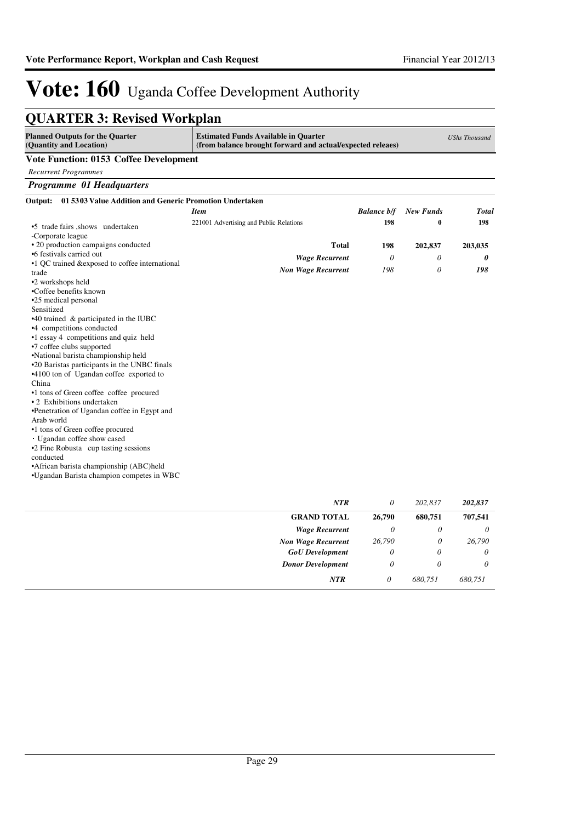| <b>QUARTER 3: Revised Workplan</b>                                    |                                                                                                           |                    |                  |                      |
|-----------------------------------------------------------------------|-----------------------------------------------------------------------------------------------------------|--------------------|------------------|----------------------|
| <b>Planned Outputs for the Quarter</b><br>(Quantity and Location)     | <b>Estimated Funds Available in Quarter</b><br>(from balance brought forward and actual/expected releaes) |                    |                  | <b>UShs Thousand</b> |
| <b>Vote Function: 0153 Coffee Development</b>                         |                                                                                                           |                    |                  |                      |
| <b>Recurrent Programmes</b>                                           |                                                                                                           |                    |                  |                      |
| Programme 01 Headquarters                                             |                                                                                                           |                    |                  |                      |
| 01 5303 Value Addition and Generic Promotion Undertaken<br>Output:    |                                                                                                           |                    |                  |                      |
|                                                                       | <b>Item</b>                                                                                               | <b>Balance b/f</b> | <b>New Funds</b> | Total                |
| •5 trade fairs shows undertaken<br>-Corporate league                  | 221001 Advertising and Public Relations                                                                   | 198                | $\bf{0}$         | 198                  |
| • 20 production campaigns conducted                                   | <b>Total</b>                                                                                              | 198                | 202,837          | 203,035              |
| •6 festivals carried out                                              | <b>Wage Recurrent</b>                                                                                     | 0                  | 0                | 0                    |
| •1 QC trained & exposed to coffee international                       | <b>Non Wage Recurrent</b>                                                                                 | 198                | $\theta$         | 198                  |
| trade                                                                 |                                                                                                           |                    |                  |                      |
| •2 workshops held<br>•Coffee benefits known                           |                                                                                                           |                    |                  |                      |
| •25 medical personal                                                  |                                                                                                           |                    |                  |                      |
| Sensitized                                                            |                                                                                                           |                    |                  |                      |
| $*40$ trained & participated in the IUBC                              |                                                                                                           |                    |                  |                      |
| •4 competitions conducted                                             |                                                                                                           |                    |                  |                      |
| •1 essay 4 competitions and quiz held                                 |                                                                                                           |                    |                  |                      |
| •7 coffee clubs supported                                             |                                                                                                           |                    |                  |                      |
| •National barista championship held                                   |                                                                                                           |                    |                  |                      |
| •20 Baristas participants in the UNBC finals                          |                                                                                                           |                    |                  |                      |
| •4100 ton of Ugandan coffee exported to                               |                                                                                                           |                    |                  |                      |
| China                                                                 |                                                                                                           |                    |                  |                      |
| •1 tons of Green coffee coffee procured<br>• 2 Exhibitions undertaken |                                                                                                           |                    |                  |                      |
| •Penetration of Ugandan coffee in Egypt and                           |                                                                                                           |                    |                  |                      |
| Arab world                                                            |                                                                                                           |                    |                  |                      |
| •1 tons of Green coffee procured                                      |                                                                                                           |                    |                  |                      |
| Ugandan coffee show cased                                             |                                                                                                           |                    |                  |                      |
| •2 Fine Robusta cup tasting sessions                                  |                                                                                                           |                    |                  |                      |
| conducted                                                             |                                                                                                           |                    |                  |                      |
| • African barista championship (ABC)held                              |                                                                                                           |                    |                  |                      |
| *Ugandan Barista champion competes in WBC                             |                                                                                                           |                    |                  |                      |
|                                                                       |                                                                                                           |                    |                  |                      |

| <b>NTR</b>                | 0      | 202,837  | 202,837  |
|---------------------------|--------|----------|----------|
| <b>GRAND TOTAL</b>        | 26,790 | 680,751  | 707,541  |
| <b>Wage Recurrent</b>     | 0      | 0        | $\theta$ |
| <b>Non Wage Recurrent</b> | 26,790 | 0        | 26,790   |
| <b>GoU</b> Development    | 0      | 0        | $\theta$ |
| <b>Donor Development</b>  | 0      | $\theta$ | 0        |
| <b>NTR</b>                | 0      | 680,751  | 680,751  |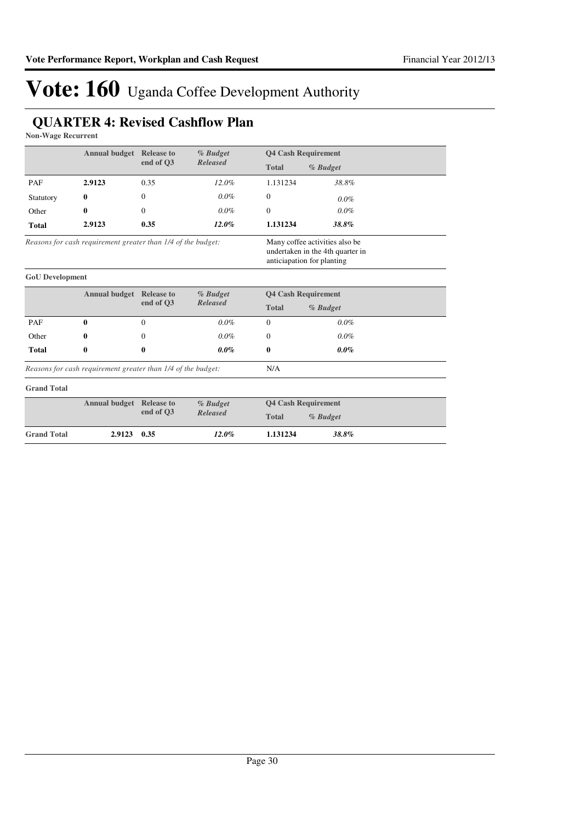### **QUARTER 4: Revised Cashflow Plan**

**Non-Wage Recurrent**

|                        |                                                              | <b>Annual budget</b> Release to<br>% Budget |                 | <b>Q4 Cash Requirement</b>                                                                       |          |
|------------------------|--------------------------------------------------------------|---------------------------------------------|-----------------|--------------------------------------------------------------------------------------------------|----------|
|                        |                                                              | end of O3                                   | <b>Released</b> | <b>Total</b>                                                                                     | % Budget |
| PAF                    | 2.9123                                                       | 0.35                                        | $12.0\%$        | 1.131234                                                                                         | 38.8%    |
| Statutory              | $\bf{0}$                                                     | $\Omega$                                    | $0.0\%$         | $\overline{0}$                                                                                   | $0.0\%$  |
| Other                  | 0                                                            | $\Omega$                                    | $0.0\%$         | $\Omega$                                                                                         | $0.0\%$  |
| <b>Total</b>           | 2.9123                                                       | 0.35                                        | $12.0\%$        | 1.131234                                                                                         | 38.8%    |
|                        | Reasons for cash requirement greater than 1/4 of the budget: |                                             |                 | Many coffee activities also be<br>undertaken in the 4th quarter in<br>anticiapation for planting |          |
| <b>GoU</b> Development |                                                              |                                             |                 |                                                                                                  |          |
|                        | <b>Annual budget</b> Release to                              |                                             | % Budget        | <b>Q4 Cash Requirement</b>                                                                       |          |
|                        |                                                              | end of O3                                   | <b>Released</b> | <b>Total</b>                                                                                     | % Budget |
| PAF                    | 0                                                            | $\overline{0}$                              | $0.0\%$         | $\overline{0}$                                                                                   | $0.0\%$  |
| Other                  | 0                                                            | 0                                           | $0.0\%$         | $\Omega$                                                                                         | $0.0\%$  |
| <b>Total</b>           | 0                                                            | 0                                           | $0.0\%$         | 0                                                                                                | $0.0\%$  |
|                        | Reasons for cash requirement greater than 1/4 of the budget: |                                             |                 | N/A                                                                                              |          |
| <b>Grand Total</b>     |                                                              |                                             |                 |                                                                                                  |          |
|                        | <b>Annual budget</b> Release to<br>% Budget                  |                                             |                 | <b>Q4 Cash Requirement</b>                                                                       |          |
|                        |                                                              | end of Q3                                   | <b>Released</b> | <b>Total</b>                                                                                     | % Budget |
| <b>Grand Total</b>     | 2.9123                                                       | 0.35                                        | $12.0\%$        | 1.131234                                                                                         | 38.8%    |